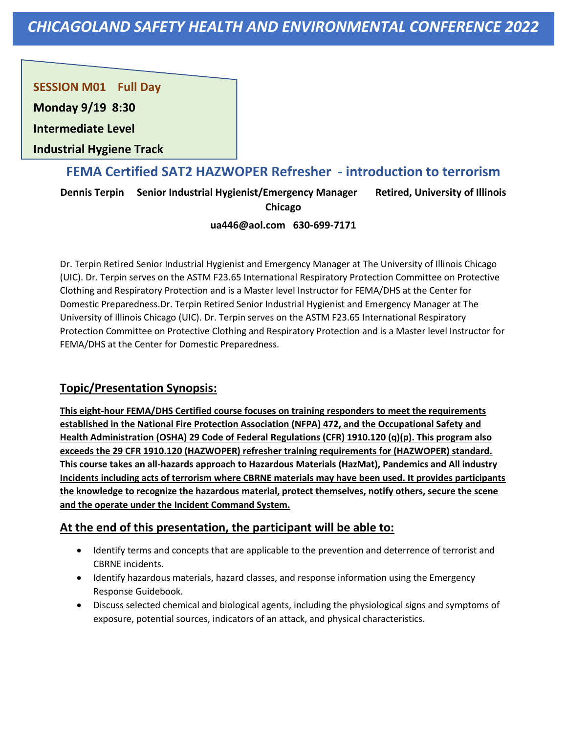**SESSION M01 Full Day** 

**Monday 9/19 8:30**

**Intermediate Level** 

**Industrial Hygiene Track**

## **FEMA Certified SAT2 HAZWOPER Refresher - introduction to terrorism**

**Dennis Terpin Senior Industrial Hygienist/Emergency Manager Retired, University of Illinois Chicago**

#### **ua446@aol.com 630-699-7171**

Dr. Terpin Retired Senior Industrial Hygienist and Emergency Manager at The University of Illinois Chicago (UIC). Dr. Terpin serves on the ASTM F23.65 International Respiratory Protection Committee on Protective Clothing and Respiratory Protection and is a Master level Instructor for FEMA/DHS at the Center for Domestic Preparedness.Dr. Terpin Retired Senior Industrial Hygienist and Emergency Manager at The University of Illinois Chicago (UIC). Dr. Terpin serves on the ASTM F23.65 International Respiratory Protection Committee on Protective Clothing and Respiratory Protection and is a Master level Instructor for FEMA/DHS at the Center for Domestic Preparedness.

### **Topic/Presentation Synopsis:**

**This eight-hour FEMA/DHS Certified course focuses on training responders to meet the requirements established in the National Fire Protection Association (NFPA) 472, and the Occupational Safety and Health Administration (OSHA) 29 Code of Federal Regulations (CFR) 1910.120 (q)(p). This program also exceeds the 29 CFR 1910.120 (HAZWOPER) refresher training requirements for (HAZWOPER) standard. This course takes an all-hazards approach to Hazardous Materials (HazMat), Pandemics and All industry Incidents including acts of terrorism where CBRNE materials may have been used. It provides participants the knowledge to recognize the hazardous material, protect themselves, notify others, secure the scene and the operate under the Incident Command System.**

- Identify terms and concepts that are applicable to the prevention and deterrence of terrorist and CBRNE incidents.
- Identify hazardous materials, hazard classes, and response information using the Emergency Response Guidebook.
- Discuss selected chemical and biological agents, including the physiological signs and symptoms of exposure, potential sources, indicators of an attack, and physical characteristics.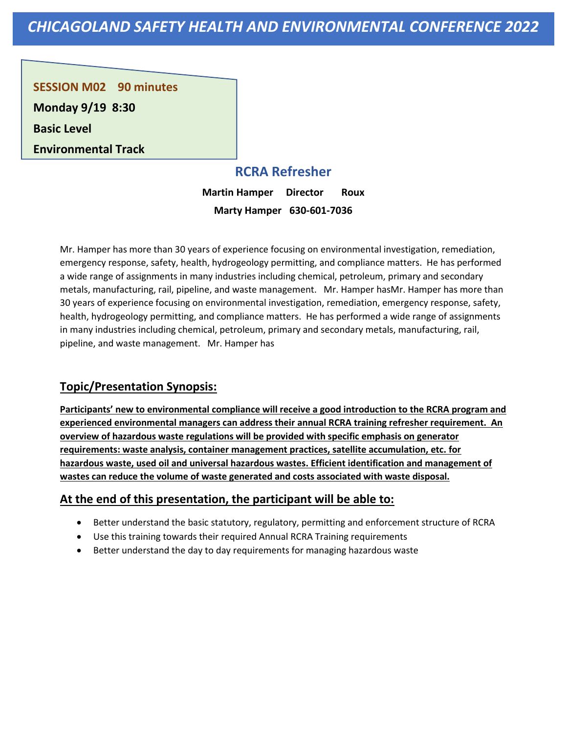**SESSION M02 90 minutes Monday 9/19 8:30**

**Basic Level** 

**Environmental Track**

# **RCRA Refresher**

**Martin Hamper Director Roux Marty Hamper 630-601-7036**

Mr. Hamper has more than 30 years of experience focusing on environmental investigation, remediation, emergency response, safety, health, hydrogeology permitting, and compliance matters. He has performed a wide range of assignments in many industries including chemical, petroleum, primary and secondary metals, manufacturing, rail, pipeline, and waste management. Mr. Hamper hasMr. Hamper has more than 30 years of experience focusing on environmental investigation, remediation, emergency response, safety, health, hydrogeology permitting, and compliance matters. He has performed a wide range of assignments in many industries including chemical, petroleum, primary and secondary metals, manufacturing, rail, pipeline, and waste management. Mr. Hamper has

### **Topic/Presentation Synopsis:**

**Participants' new to environmental compliance will receive a good introduction to the RCRA program and experienced environmental managers can address their annual RCRA training refresher requirement. An overview of hazardous waste regulations will be provided with specific emphasis on generator requirements: waste analysis, container management practices, satellite accumulation, etc. for hazardous waste, used oil and universal hazardous wastes. Efficient identification and management of wastes can reduce the volume of waste generated and costs associated with waste disposal.**

- Better understand the basic statutory, regulatory, permitting and enforcement structure of RCRA
- Use this training towards their required Annual RCRA Training requirements
- Better understand the day to day requirements for managing hazardous waste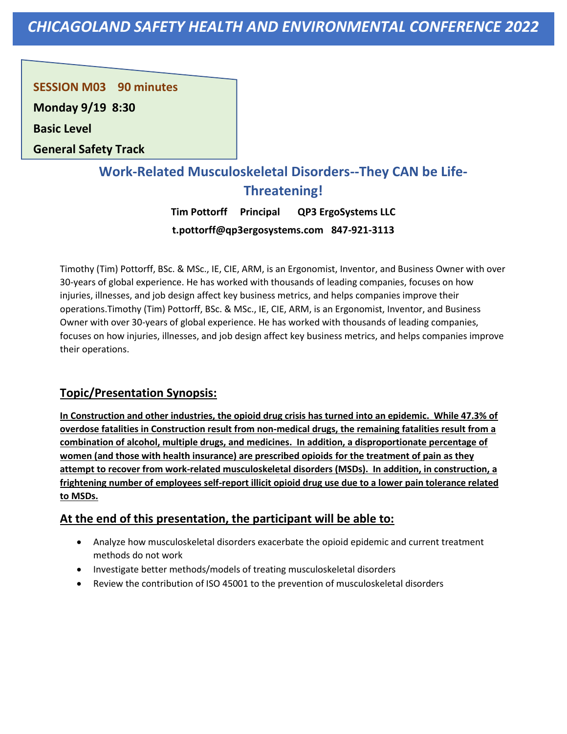**SESSION M03 90 minutes** 

**Monday 9/19 8:30**

**Basic Level** 

**General Safety Track**

# **Work-Related Musculoskeletal Disorders--They CAN be Life-Threatening!**

**Tim Pottorff Principal QP3 ErgoSystems LLC t.pottorff@qp3ergosystems.com 847-921-3113**

Timothy (Tim) Pottorff, BSc. & MSc., IE, CIE, ARM, is an Ergonomist, Inventor, and Business Owner with over 30-years of global experience. He has worked with thousands of leading companies, focuses on how injuries, illnesses, and job design affect key business metrics, and helps companies improve their operations.Timothy (Tim) Pottorff, BSc. & MSc., IE, CIE, ARM, is an Ergonomist, Inventor, and Business Owner with over 30-years of global experience. He has worked with thousands of leading companies, focuses on how injuries, illnesses, and job design affect key business metrics, and helps companies improve their operations.

### **Topic/Presentation Synopsis:**

**In Construction and other industries, the opioid drug crisis has turned into an epidemic. While 47.3% of overdose fatalities in Construction result from non-medical drugs, the remaining fatalities result from a combination of alcohol, multiple drugs, and medicines. In addition, a disproportionate percentage of women (and those with health insurance) are prescribed opioids for the treatment of pain as they attempt to recover from work-related musculoskeletal disorders (MSDs). In addition, in construction, a frightening number of employees self-report illicit opioid drug use due to a lower pain tolerance related to MSDs.**

- Analyze how musculoskeletal disorders exacerbate the opioid epidemic and current treatment methods do not work
- Investigate better methods/models of treating musculoskeletal disorders
- Review the contribution of ISO 45001 to the prevention of musculoskeletal disorders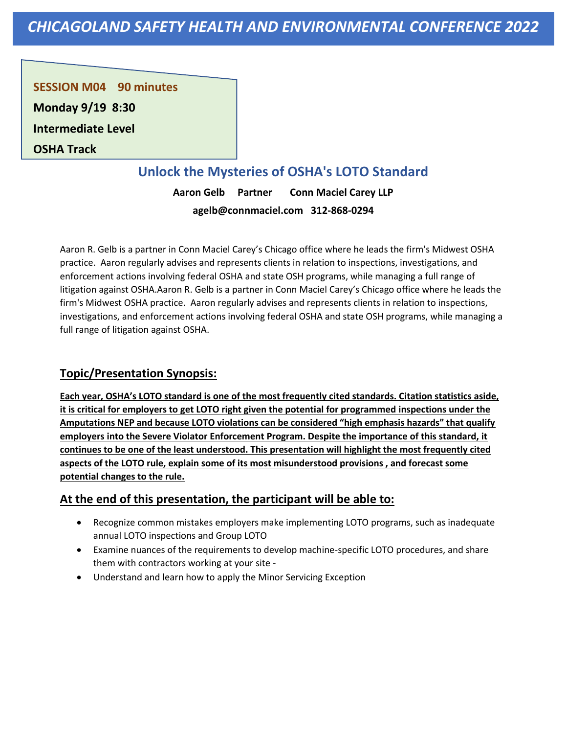**SESSION M04 90 minutes** 

**Monday 9/19 8:30**

**Intermediate Level** 

**OSHA Track**

# **Unlock the Mysteries of OSHA's LOTO Standard**

**Aaron Gelb Partner Conn Maciel Carey LLP agelb@connmaciel.com 312-868-0294**

Aaron R. Gelb is a partner in Conn Maciel Carey's Chicago office where he leads the firm's Midwest OSHA practice. Aaron regularly advises and represents clients in relation to inspections, investigations, and enforcement actions involving federal OSHA and state OSH programs, while managing a full range of litigation against OSHA.Aaron R. Gelb is a partner in Conn Maciel Carey's Chicago office where he leads the firm's Midwest OSHA practice. Aaron regularly advises and represents clients in relation to inspections, investigations, and enforcement actions involving federal OSHA and state OSH programs, while managing a full range of litigation against OSHA.

### **Topic/Presentation Synopsis:**

**Each year, OSHA's LOTO standard is one of the most frequently cited standards. Citation statistics aside, it is critical for employers to get LOTO right given the potential for programmed inspections under the Amputations NEP and because LOTO violations can be considered "high emphasis hazards" that qualify employers into the Severe Violator Enforcement Program. Despite the importance of this standard, it continues to be one of the least understood. This presentation will highlight the most frequently cited aspects of the LOTO rule, explain some of its most misunderstood provisions , and forecast some potential changes to the rule.**

- Recognize common mistakes employers make implementing LOTO programs, such as inadequate annual LOTO inspections and Group LOTO
- Examine nuances of the requirements to develop machine-specific LOTO procedures, and share them with contractors working at your site -
- Understand and learn how to apply the Minor Servicing Exception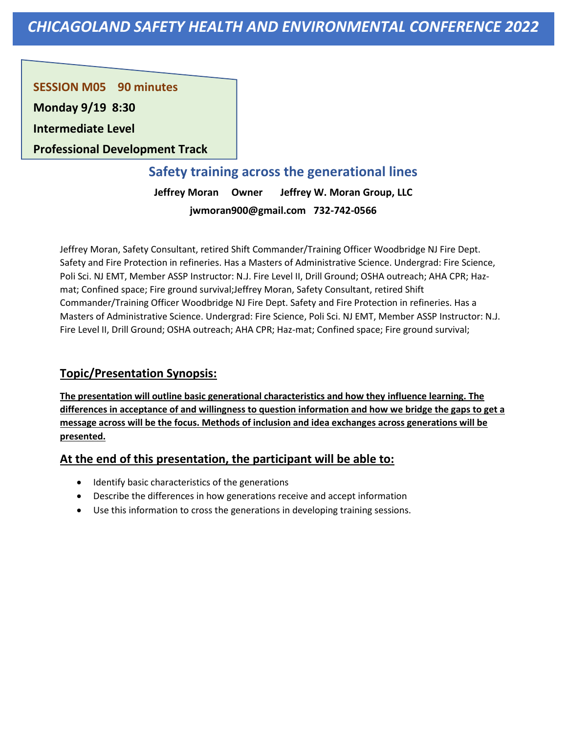**SESSION M05 90 minutes** 

**Monday 9/19 8:30**

**Intermediate Level** 

**Professional Development Track**

# **Safety training across the generational lines**

**Jeffrey Moran Owner Jeffrey W. Moran Group, LLC jwmoran900@gmail.com 732-742-0566**

Jeffrey Moran, Safety Consultant, retired Shift Commander/Training Officer Woodbridge NJ Fire Dept. Safety and Fire Protection in refineries. Has a Masters of Administrative Science. Undergrad: Fire Science, Poli Sci. NJ EMT, Member ASSP Instructor: N.J. Fire Level II, Drill Ground; OSHA outreach; AHA CPR; Hazmat; Confined space; Fire ground survival;Jeffrey Moran, Safety Consultant, retired Shift Commander/Training Officer Woodbridge NJ Fire Dept. Safety and Fire Protection in refineries. Has a Masters of Administrative Science. Undergrad: Fire Science, Poli Sci. NJ EMT, Member ASSP Instructor: N.J. Fire Level II, Drill Ground; OSHA outreach; AHA CPR; Haz-mat; Confined space; Fire ground survival;

### **Topic/Presentation Synopsis:**

**The presentation will outline basic generational characteristics and how they influence learning. The differences in acceptance of and willingness to question information and how we bridge the gaps to get a message across will be the focus. Methods of inclusion and idea exchanges across generations will be presented.**

- Identify basic characteristics of the generations
- Describe the differences in how generations receive and accept information
- Use this information to cross the generations in developing training sessions.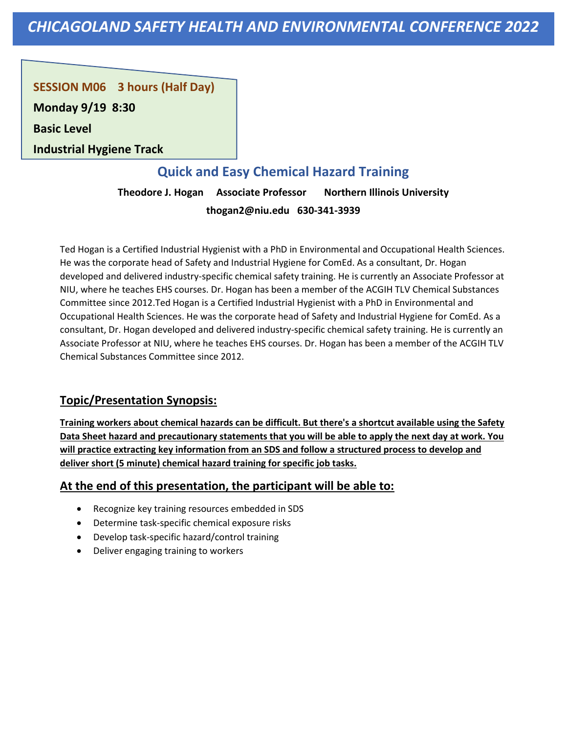**SESSION M06 3 hours (Half Day)** 

**Monday 9/19 8:30**

**Basic Level** 

**Industrial Hygiene Track**

# **Quick and Easy Chemical Hazard Training**

**Theodore J. Hogan Associate Professor Northern Illinois University thogan2@niu.edu 630-341-3939**

Ted Hogan is a Certified Industrial Hygienist with a PhD in Environmental and Occupational Health Sciences. He was the corporate head of Safety and Industrial Hygiene for ComEd. As a consultant, Dr. Hogan developed and delivered industry-specific chemical safety training. He is currently an Associate Professor at NIU, where he teaches EHS courses. Dr. Hogan has been a member of the ACGIH TLV Chemical Substances Committee since 2012.Ted Hogan is a Certified Industrial Hygienist with a PhD in Environmental and Occupational Health Sciences. He was the corporate head of Safety and Industrial Hygiene for ComEd. As a consultant, Dr. Hogan developed and delivered industry-specific chemical safety training. He is currently an Associate Professor at NIU, where he teaches EHS courses. Dr. Hogan has been a member of the ACGIH TLV Chemical Substances Committee since 2012.

### **Topic/Presentation Synopsis:**

**Training workers about chemical hazards can be difficult. But there's a shortcut available using the Safety Data Sheet hazard and precautionary statements that you will be able to apply the next day at work. You will practice extracting key information from an SDS and follow a structured process to develop and deliver short (5 minute) chemical hazard training for specific job tasks.**

- Recognize key training resources embedded in SDS
- Determine task-specific chemical exposure risks
- Develop task-specific hazard/control training
- Deliver engaging training to workers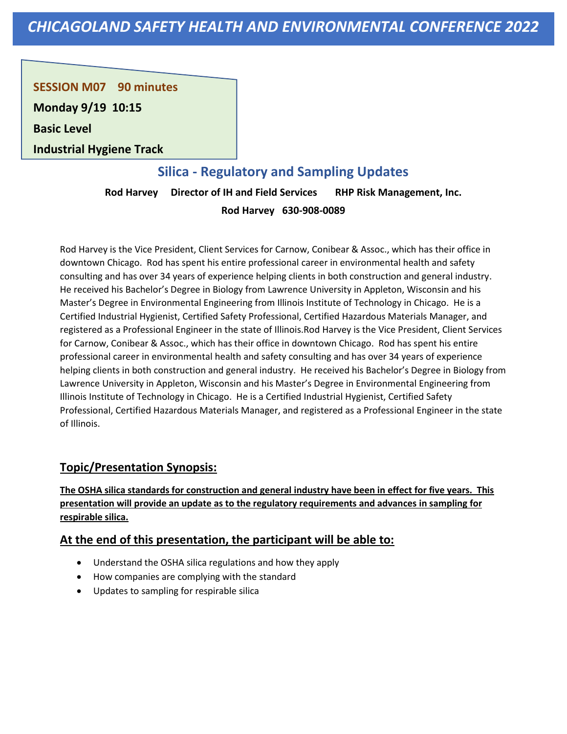**SESSION M07 90 minutes** 

**Monday 9/19 10:15**

**Basic Level** 

**Industrial Hygiene Track**

# **Silica - Regulatory and Sampling Updates**

**Rod Harvey Director of IH and Field Services RHP Risk Management, Inc. Rod Harvey 630-908-0089**

Rod Harvey is the Vice President, Client Services for Carnow, Conibear & Assoc., which has their office in downtown Chicago. Rod has spent his entire professional career in environmental health and safety consulting and has over 34 years of experience helping clients in both construction and general industry. He received his Bachelor's Degree in Biology from Lawrence University in Appleton, Wisconsin and his Master's Degree in Environmental Engineering from Illinois Institute of Technology in Chicago. He is a Certified Industrial Hygienist, Certified Safety Professional, Certified Hazardous Materials Manager, and registered as a Professional Engineer in the state of Illinois.Rod Harvey is the Vice President, Client Services for Carnow, Conibear & Assoc., which has their office in downtown Chicago. Rod has spent his entire professional career in environmental health and safety consulting and has over 34 years of experience helping clients in both construction and general industry. He received his Bachelor's Degree in Biology from Lawrence University in Appleton, Wisconsin and his Master's Degree in Environmental Engineering from Illinois Institute of Technology in Chicago. He is a Certified Industrial Hygienist, Certified Safety Professional, Certified Hazardous Materials Manager, and registered as a Professional Engineer in the state of Illinois.

### **Topic/Presentation Synopsis:**

**The OSHA silica standards for construction and general industry have been in effect for five years. This presentation will provide an update as to the regulatory requirements and advances in sampling for respirable silica.**

- Understand the OSHA silica regulations and how they apply
- How companies are complying with the standard
- Updates to sampling for respirable silica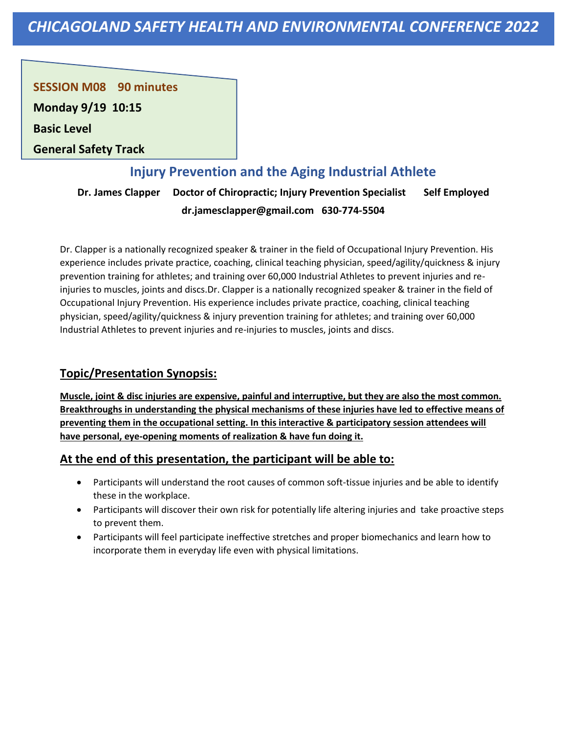**SESSION M08 90 minutes** 

**Monday 9/19 10:15**

**Basic Level** 

**General Safety Track**

# **Injury Prevention and the Aging Industrial Athlete**

**Dr. James Clapper Doctor of Chiropractic; Injury Prevention Specialist Self Employed dr.jamesclapper@gmail.com 630-774-5504**

Dr. Clapper is a nationally recognized speaker & trainer in the field of Occupational Injury Prevention. His experience includes private practice, coaching, clinical teaching physician, speed/agility/quickness & injury prevention training for athletes; and training over 60,000 Industrial Athletes to prevent injuries and reinjuries to muscles, joints and discs.Dr. Clapper is a nationally recognized speaker & trainer in the field of Occupational Injury Prevention. His experience includes private practice, coaching, clinical teaching physician, speed/agility/quickness & injury prevention training for athletes; and training over 60,000 Industrial Athletes to prevent injuries and re-injuries to muscles, joints and discs.

### **Topic/Presentation Synopsis:**

**Muscle, joint & disc injuries are expensive, painful and interruptive, but they are also the most common. Breakthroughs in understanding the physical mechanisms of these injuries have led to effective means of preventing them in the occupational setting. In this interactive & participatory session attendees will have personal, eye-opening moments of realization & have fun doing it.**

- Participants will understand the root causes of common soft-tissue injuries and be able to identify these in the workplace.
- Participants will discover their own risk for potentially life altering injuries and take proactive steps to prevent them.
- Participants will feel participate ineffective stretches and proper biomechanics and learn how to incorporate them in everyday life even with physical limitations.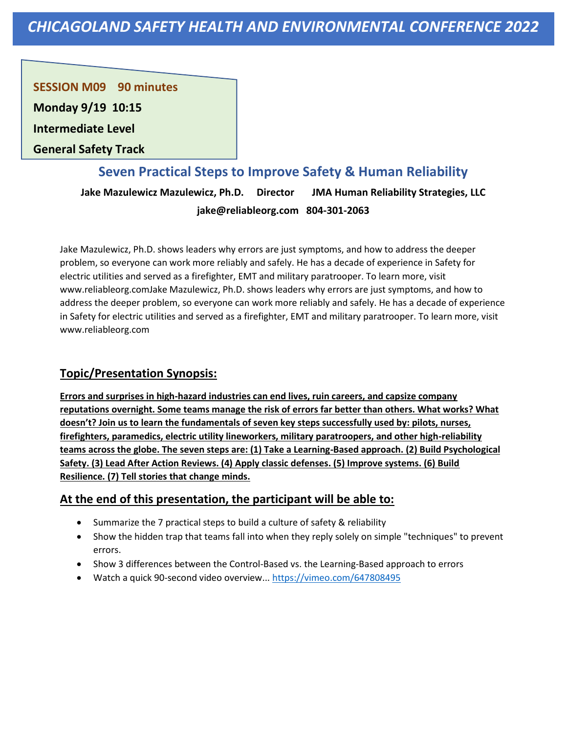**SESSION M09 90 minutes** 

**Monday 9/19 10:15**

**Intermediate Level** 

**General Safety Track**

### **Seven Practical Steps to Improve Safety & Human Reliability**

**Jake Mazulewicz Mazulewicz, Ph.D. Director JMA Human Reliability Strategies, LLC jake@reliableorg.com 804-301-2063**

Jake Mazulewicz, Ph.D. shows leaders why errors are just symptoms, and how to address the deeper problem, so everyone can work more reliably and safely. He has a decade of experience in Safety for electric utilities and served as a firefighter, EMT and military paratrooper. To learn more, visit www.reliableorg.comJake Mazulewicz, Ph.D. shows leaders why errors are just symptoms, and how to address the deeper problem, so everyone can work more reliably and safely. He has a decade of experience in Safety for electric utilities and served as a firefighter, EMT and military paratrooper. To learn more, visit www.reliableorg.com

### **Topic/Presentation Synopsis:**

**Errors and surprises in high-hazard industries can end lives, ruin careers, and capsize company reputations overnight. Some teams manage the risk of errors far better than others. What works? What doesn't? Join us to learn the fundamentals of seven key steps successfully used by: pilots, nurses, firefighters, paramedics, electric utility lineworkers, military paratroopers, and other high-reliability teams across the globe. The seven steps are: (1) Take a Learning-Based approach. (2) Build Psychological Safety. (3) Lead After Action Reviews. (4) Apply classic defenses. (5) Improve systems. (6) Build Resilience. (7) Tell stories that change minds.**

- Summarize the 7 practical steps to build a culture of safety & reliability
- Show the hidden trap that teams fall into when they reply solely on simple "techniques" to prevent errors.
- Show 3 differences between the Control-Based vs. the Learning-Based approach to errors
- Watch a quick 90-second video overview...<https://vimeo.com/647808495>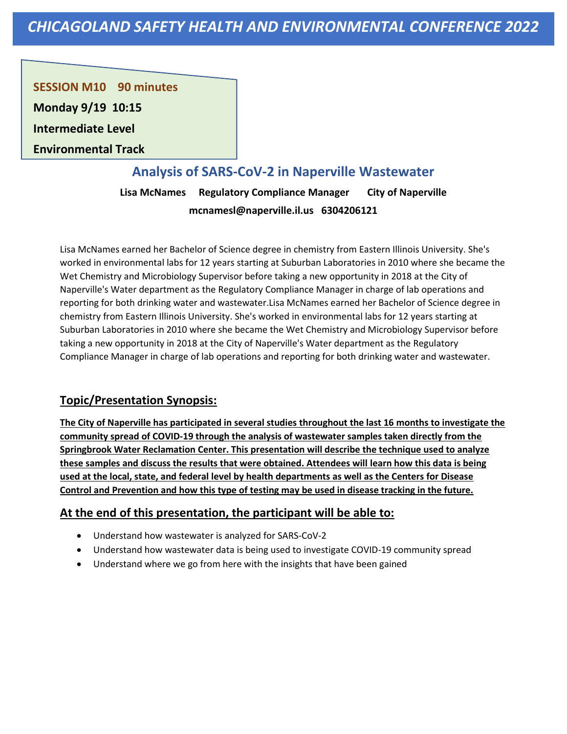**SESSION M10 90 minutes** 

**Monday 9/19 10:15**

**Intermediate Level** 

**Environmental Track**

### **Analysis of SARS-CoV-2 in Naperville Wastewater**

**Lisa McNames Regulatory Compliance Manager City of Naperville mcnamesl@naperville.il.us 6304206121**

Lisa McNames earned her Bachelor of Science degree in chemistry from Eastern Illinois University. She's worked in environmental labs for 12 years starting at Suburban Laboratories in 2010 where she became the Wet Chemistry and Microbiology Supervisor before taking a new opportunity in 2018 at the City of Naperville's Water department as the Regulatory Compliance Manager in charge of lab operations and reporting for both drinking water and wastewater.Lisa McNames earned her Bachelor of Science degree in chemistry from Eastern Illinois University. She's worked in environmental labs for 12 years starting at Suburban Laboratories in 2010 where she became the Wet Chemistry and Microbiology Supervisor before taking a new opportunity in 2018 at the City of Naperville's Water department as the Regulatory Compliance Manager in charge of lab operations and reporting for both drinking water and wastewater.

### **Topic/Presentation Synopsis:**

**The City of Naperville has participated in several studies throughout the last 16 months to investigate the community spread of COVID-19 through the analysis of wastewater samples taken directly from the Springbrook Water Reclamation Center. This presentation will describe the technique used to analyze these samples and discuss the results that were obtained. Attendees will learn how this data is being used at the local, state, and federal level by health departments as well as the Centers for Disease Control and Prevention and how this type of testing may be used in disease tracking in the future.**

- Understand how wastewater is analyzed for SARS-CoV-2
- Understand how wastewater data is being used to investigate COVID-19 community spread
- Understand where we go from here with the insights that have been gained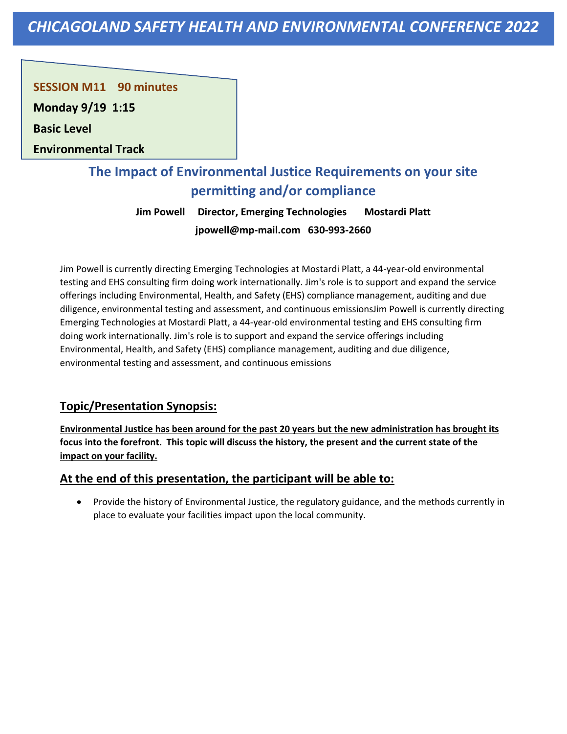**SESSION M11 90 minutes** 

**Monday 9/19 1:15**

**Basic Level** 

**Environmental Track**

# **The Impact of Environmental Justice Requirements on your site permitting and/or compliance**

**Jim Powell Director, Emerging Technologies Mostardi Platt jpowell@mp-mail.com 630-993-2660**

Jim Powell is currently directing Emerging Technologies at Mostardi Platt, a 44-year-old environmental testing and EHS consulting firm doing work internationally. Jim's role is to support and expand the service offerings including Environmental, Health, and Safety (EHS) compliance management, auditing and due diligence, environmental testing and assessment, and continuous emissionsJim Powell is currently directing Emerging Technologies at Mostardi Platt, a 44-year-old environmental testing and EHS consulting firm doing work internationally. Jim's role is to support and expand the service offerings including Environmental, Health, and Safety (EHS) compliance management, auditing and due diligence, environmental testing and assessment, and continuous emissions

### **Topic/Presentation Synopsis:**

**Environmental Justice has been around for the past 20 years but the new administration has brought its focus into the forefront. This topic will discuss the history, the present and the current state of the impact on your facility.**

### **At the end of this presentation, the participant will be able to:**

• Provide the history of Environmental Justice, the regulatory guidance, and the methods currently in place to evaluate your facilities impact upon the local community.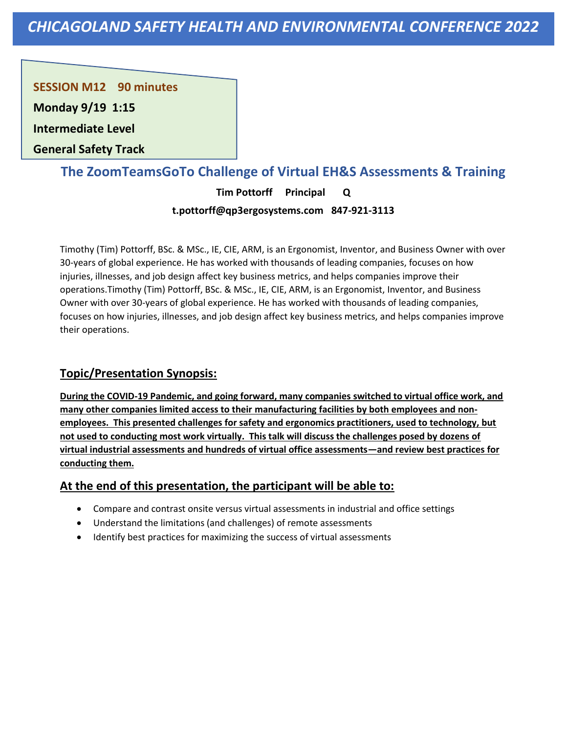**SESSION M12 90 minutes** 

**Monday 9/19 1:15**

**Intermediate Level** 

**General Safety Track**

## **The ZoomTeamsGoTo Challenge of Virtual EH&S Assessments & Training**

**Tim Pottorff Principal Q t.pottorff@qp3ergosystems.com 847-921-3113**

Timothy (Tim) Pottorff, BSc. & MSc., IE, CIE, ARM, is an Ergonomist, Inventor, and Business Owner with over 30-years of global experience. He has worked with thousands of leading companies, focuses on how injuries, illnesses, and job design affect key business metrics, and helps companies improve their operations.Timothy (Tim) Pottorff, BSc. & MSc., IE, CIE, ARM, is an Ergonomist, Inventor, and Business Owner with over 30-years of global experience. He has worked with thousands of leading companies, focuses on how injuries, illnesses, and job design affect key business metrics, and helps companies improve their operations.

### **Topic/Presentation Synopsis:**

**During the COVID-19 Pandemic, and going forward, many companies switched to virtual office work, and many other companies limited access to their manufacturing facilities by both employees and nonemployees. This presented challenges for safety and ergonomics practitioners, used to technology, but not used to conducting most work virtually. This talk will discuss the challenges posed by dozens of virtual industrial assessments and hundreds of virtual office assessments—and review best practices for conducting them.**

- Compare and contrast onsite versus virtual assessments in industrial and office settings
- Understand the limitations (and challenges) of remote assessments
- Identify best practices for maximizing the success of virtual assessments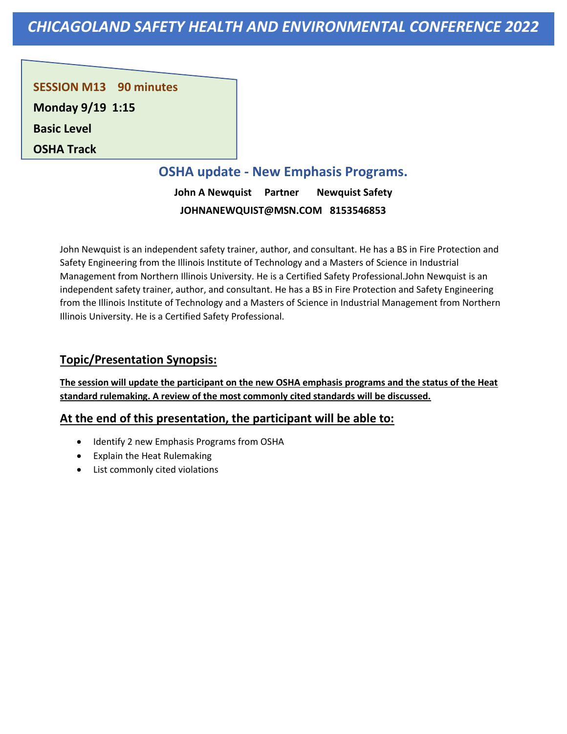**SESSION M13 90 minutes Monday 9/19 1:15 Basic Level** 

**OSHA Track**

# **OSHA update - New Emphasis Programs.**

**John A Newquist Partner Newquist Safety JOHNANEWQUIST@MSN.COM 8153546853**

John Newquist is an independent safety trainer, author, and consultant. He has a BS in Fire Protection and Safety Engineering from the Illinois Institute of Technology and a Masters of Science in Industrial Management from Northern Illinois University. He is a Certified Safety Professional.John Newquist is an independent safety trainer, author, and consultant. He has a BS in Fire Protection and Safety Engineering from the Illinois Institute of Technology and a Masters of Science in Industrial Management from Northern Illinois University. He is a Certified Safety Professional.

### **Topic/Presentation Synopsis:**

**The session will update the participant on the new OSHA emphasis programs and the status of the Heat standard rulemaking. A review of the most commonly cited standards will be discussed.**

- Identify 2 new Emphasis Programs from OSHA
- Explain the Heat Rulemaking
- List commonly cited violations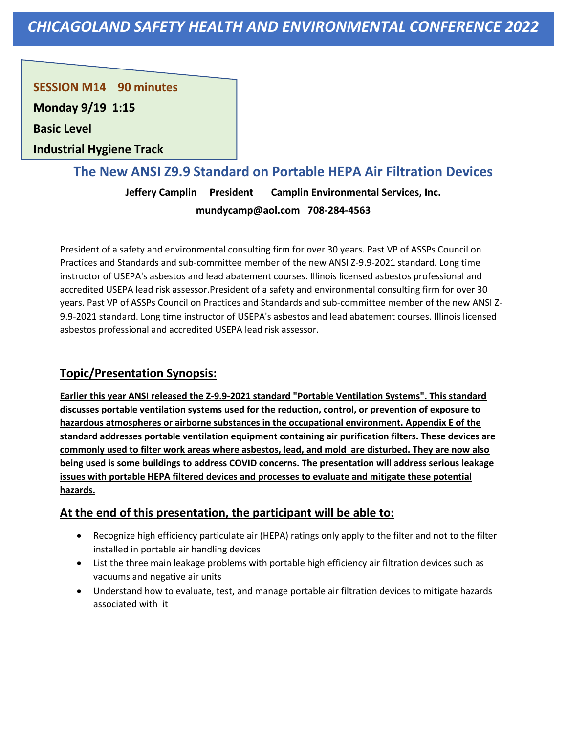**SESSION M14 90 minutes** 

**Monday 9/19 1:15**

**Basic Level** 

**Industrial Hygiene Track**

### **The New ANSI Z9.9 Standard on Portable HEPA Air Filtration Devices**

**Jeffery Camplin President Camplin Environmental Services, Inc. mundycamp@aol.com 708-284-4563**

President of a safety and environmental consulting firm for over 30 years. Past VP of ASSPs Council on Practices and Standards and sub-committee member of the new ANSI Z-9.9-2021 standard. Long time instructor of USEPA's asbestos and lead abatement courses. Illinois licensed asbestos professional and accredited USEPA lead risk assessor.President of a safety and environmental consulting firm for over 30 years. Past VP of ASSPs Council on Practices and Standards and sub-committee member of the new ANSI Z-9.9-2021 standard. Long time instructor of USEPA's asbestos and lead abatement courses. Illinois licensed asbestos professional and accredited USEPA lead risk assessor.

### **Topic/Presentation Synopsis:**

**Earlier this year ANSI released the Z-9.9-2021 standard "Portable Ventilation Systems". This standard discusses portable ventilation systems used for the reduction, control, or prevention of exposure to hazardous atmospheres or airborne substances in the occupational environment. Appendix E of the standard addresses portable ventilation equipment containing air purification filters. These devices are commonly used to filter work areas where asbestos, lead, and mold are disturbed. They are now also being used is some buildings to address COVID concerns. The presentation will address serious leakage issues with portable HEPA filtered devices and processes to evaluate and mitigate these potential hazards.**

- Recognize high efficiency particulate air (HEPA) ratings only apply to the filter and not to the filter installed in portable air handling devices
- List the three main leakage problems with portable high efficiency air filtration devices such as vacuums and negative air units
- Understand how to evaluate, test, and manage portable air filtration devices to mitigate hazards associated with it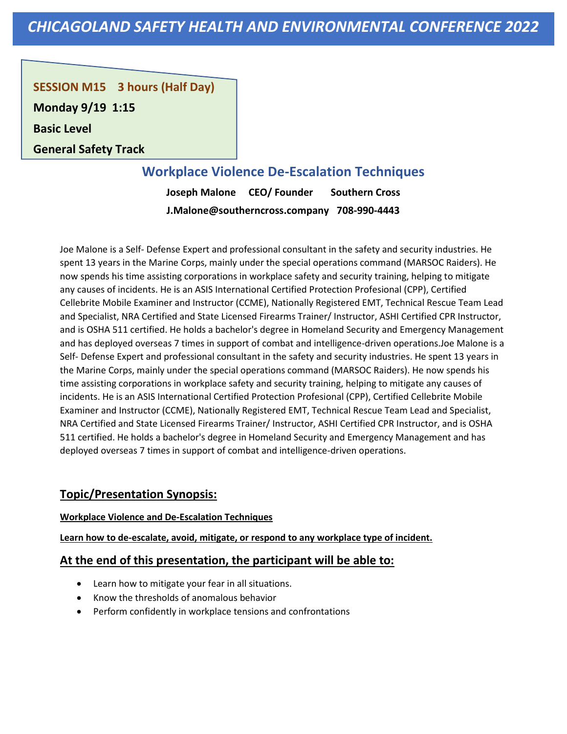**SESSION M15 3 hours (Half Day)** 

**Monday 9/19 1:15**

**Basic Level** 

**General Safety Track**

# **Workplace Violence De-Escalation Techniques**

**Joseph Malone CEO/ Founder Southern Cross J.Malone@southerncross.company 708-990-4443**

Joe Malone is a Self- Defense Expert and professional consultant in the safety and security industries. He spent 13 years in the Marine Corps, mainly under the special operations command (MARSOC Raiders). He now spends his time assisting corporations in workplace safety and security training, helping to mitigate any causes of incidents. He is an ASIS International Certified Protection Profesional (CPP), Certified Cellebrite Mobile Examiner and Instructor (CCME), Nationally Registered EMT, Technical Rescue Team Lead and Specialist, NRA Certified and State Licensed Firearms Trainer/ Instructor, ASHI Certified CPR Instructor, and is OSHA 511 certified. He holds a bachelor's degree in Homeland Security and Emergency Management and has deployed overseas 7 times in support of combat and intelligence-driven operations.Joe Malone is a Self- Defense Expert and professional consultant in the safety and security industries. He spent 13 years in the Marine Corps, mainly under the special operations command (MARSOC Raiders). He now spends his time assisting corporations in workplace safety and security training, helping to mitigate any causes of incidents. He is an ASIS International Certified Protection Profesional (CPP), Certified Cellebrite Mobile Examiner and Instructor (CCME), Nationally Registered EMT, Technical Rescue Team Lead and Specialist, NRA Certified and State Licensed Firearms Trainer/ Instructor, ASHI Certified CPR Instructor, and is OSHA 511 certified. He holds a bachelor's degree in Homeland Security and Emergency Management and has deployed overseas 7 times in support of combat and intelligence-driven operations.

### **Topic/Presentation Synopsis:**

#### **Workplace Violence and De-Escalation Techniques**

**Learn how to de-escalate, avoid, mitigate, or respond to any workplace type of incident.**

- Learn how to mitigate your fear in all situations.
- Know the thresholds of anomalous behavior
- Perform confidently in workplace tensions and confrontations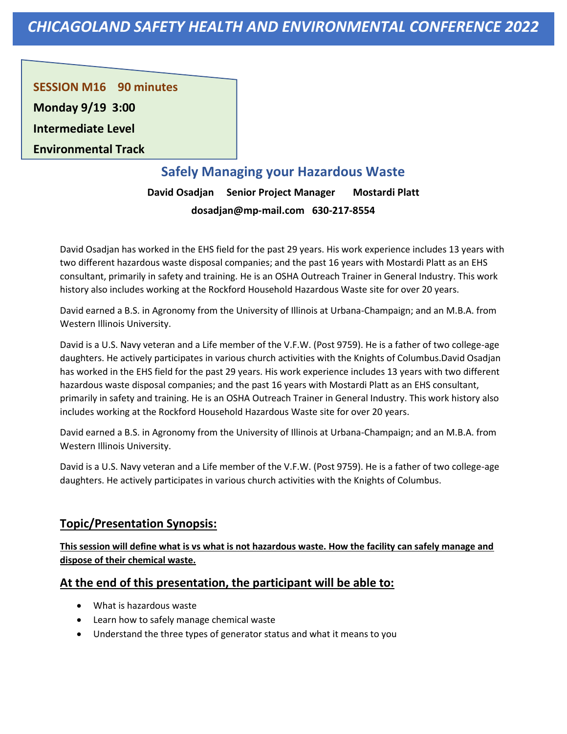**SESSION M16 90 minutes** 

**Monday 9/19 3:00**

**Intermediate Level** 

**Environmental Track**

# **Safely Managing your Hazardous Waste**

**David Osadjan Senior Project Manager Mostardi Platt dosadjan@mp-mail.com 630-217-8554**

David Osadjan has worked in the EHS field for the past 29 years. His work experience includes 13 years with two different hazardous waste disposal companies; and the past 16 years with Mostardi Platt as an EHS consultant, primarily in safety and training. He is an OSHA Outreach Trainer in General Industry. This work history also includes working at the Rockford Household Hazardous Waste site for over 20 years.

David earned a B.S. in Agronomy from the University of Illinois at Urbana-Champaign; and an M.B.A. from Western Illinois University.

David is a U.S. Navy veteran and a Life member of the V.F.W. (Post 9759). He is a father of two college-age daughters. He actively participates in various church activities with the Knights of Columbus.David Osadjan has worked in the EHS field for the past 29 years. His work experience includes 13 years with two different hazardous waste disposal companies; and the past 16 years with Mostardi Platt as an EHS consultant, primarily in safety and training. He is an OSHA Outreach Trainer in General Industry. This work history also includes working at the Rockford Household Hazardous Waste site for over 20 years.

David earned a B.S. in Agronomy from the University of Illinois at Urbana-Champaign; and an M.B.A. from Western Illinois University.

David is a U.S. Navy veteran and a Life member of the V.F.W. (Post 9759). He is a father of two college-age daughters. He actively participates in various church activities with the Knights of Columbus.

### **Topic/Presentation Synopsis:**

**This session will define what is vs what is not hazardous waste. How the facility can safely manage and dispose of their chemical waste.**

- What is hazardous waste
- Learn how to safely manage chemical waste
- Understand the three types of generator status and what it means to you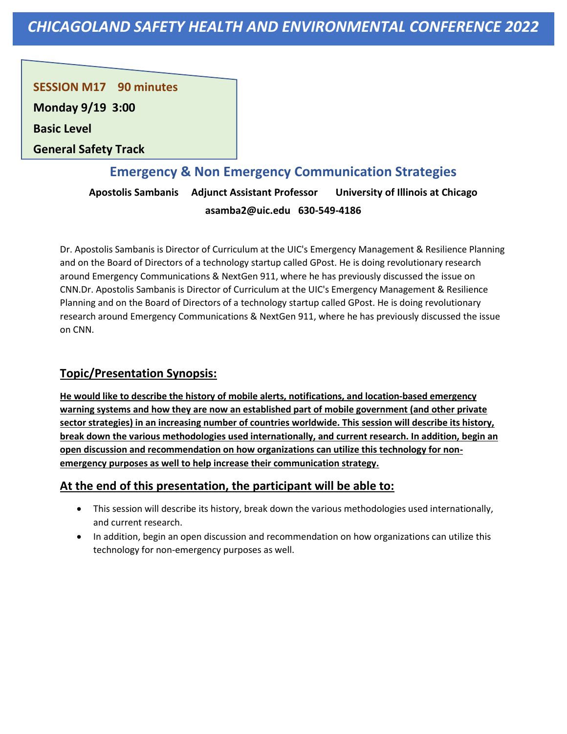**SESSION M17 90 minutes** 

**Monday 9/19 3:00**

**Basic Level** 

**General Safety Track**

## **Emergency & Non Emergency Communication Strategies**

**Apostolis Sambanis Adjunct Assistant Professor University of Illinois at Chicago asamba2@uic.edu 630-549-4186**

Dr. Apostolis Sambanis is Director of Curriculum at the UIC's Emergency Management & Resilience Planning and on the Board of Directors of a technology startup called GPost. He is doing revolutionary research around Emergency Communications & NextGen 911, where he has previously discussed the issue on CNN.Dr. Apostolis Sambanis is Director of Curriculum at the UIC's Emergency Management & Resilience Planning and on the Board of Directors of a technology startup called GPost. He is doing revolutionary research around Emergency Communications & NextGen 911, where he has previously discussed the issue on CNN.

### **Topic/Presentation Synopsis:**

**He would like to describe the history of mobile alerts, notifications, and location-based emergency warning systems and how they are now an established part of mobile government (and other private sector strategies) in an increasing number of countries worldwide. This session will describe its history, break down the various methodologies used internationally, and current research. In addition, begin an open discussion and recommendation on how organizations can utilize this technology for nonemergency purposes as well to help increase their communication strategy.**

- This session will describe its history, break down the various methodologies used internationally, and current research.
- In addition, begin an open discussion and recommendation on how organizations can utilize this technology for non-emergency purposes as well.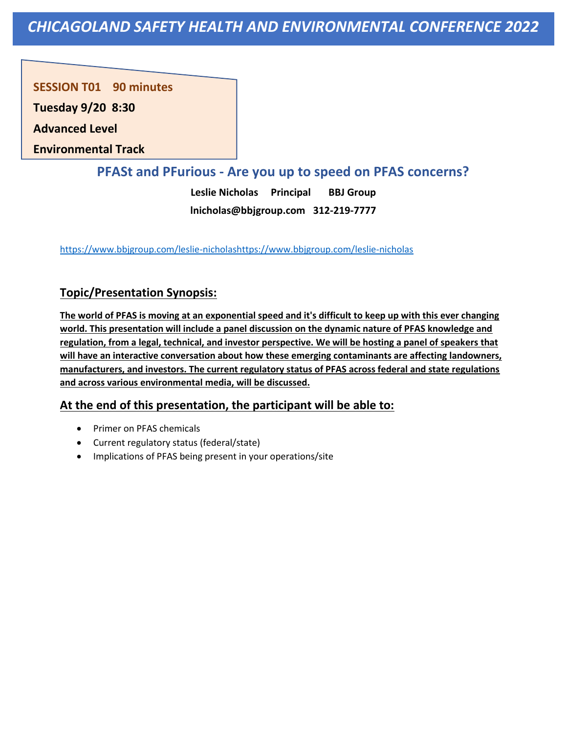**SESSION T01 90 minutes** 

**Tuesday 9/20 8:30**

**Advanced Level** 

**Environmental Track**

### **PFASt and PFurious - Are you up to speed on PFAS concerns?**

**Leslie Nicholas Principal BBJ Group lnicholas@bbjgroup.com 312-219-7777**

[https://www.bbjgroup.com/leslie-nicholashttps://www.bbjgroup.com/leslie-nicholas](https://www.bbjgroup.com/leslie-nicholashttps:/www.bbjgroup.com/leslie-nicholas)

### **Topic/Presentation Synopsis:**

**The world of PFAS is moving at an exponential speed and it's difficult to keep up with this ever changing world. This presentation will include a panel discussion on the dynamic nature of PFAS knowledge and regulation, from a legal, technical, and investor perspective. We will be hosting a panel of speakers that will have an interactive conversation about how these emerging contaminants are affecting landowners, manufacturers, and investors. The current regulatory status of PFAS across federal and state regulations and across various environmental media, will be discussed.**

- Primer on PFAS chemicals
- Current regulatory status (federal/state)
- Implications of PFAS being present in your operations/site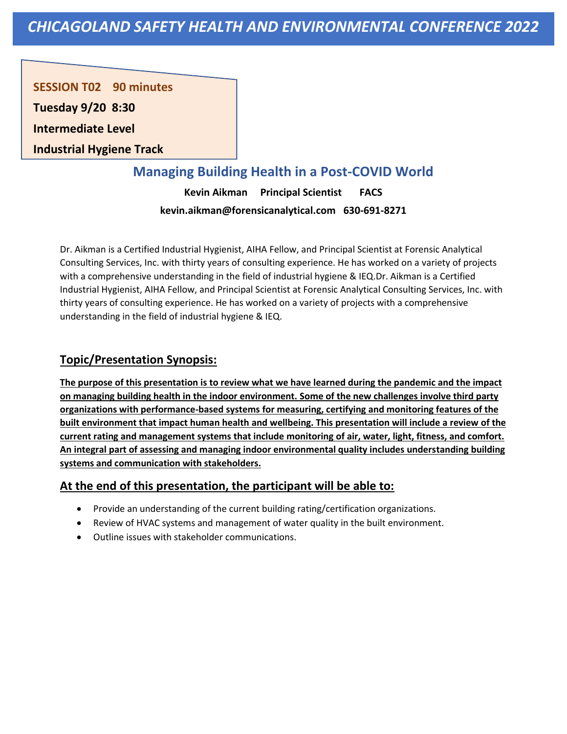**SESSION T02 90 minutes** 

**Tuesday 9/20 8:30**

**Intermediate Level** 

**Industrial Hygiene Track**

# **Managing Building Health in a Post-COVID World**

**Kevin Aikman Principal Scientist FACS kevin.aikman@forensicanalytical.com 630-691-8271**

Dr. Aikman is a Certified Industrial Hygienist, AIHA Fellow, and Principal Scientist at Forensic Analytical Consulting Services, Inc. with thirty years of consulting experience. He has worked on a variety of projects with a comprehensive understanding in the field of industrial hygiene & IEQ.Dr. Aikman is a Certified Industrial Hygienist, AIHA Fellow, and Principal Scientist at Forensic Analytical Consulting Services, Inc. with thirty years of consulting experience. He has worked on a variety of projects with a comprehensive understanding in the field of industrial hygiene & IEQ.

### **Topic/Presentation Synopsis:**

**The purpose of this presentation is to review what we have learned during the pandemic and the impact on managing building health in the indoor environment. Some of the new challenges involve third party organizations with performance-based systems for measuring, certifying and monitoring features of the built environment that impact human health and wellbeing. This presentation will include a review of the current rating and management systems that include monitoring of air, water, light, fitness, and comfort. An integral part of assessing and managing indoor environmental quality includes understanding building systems and communication with stakeholders.**

- Provide an understanding of the current building rating/certification organizations.
- Review of HVAC systems and management of water quality in the built environment.
- Outline issues with stakeholder communications.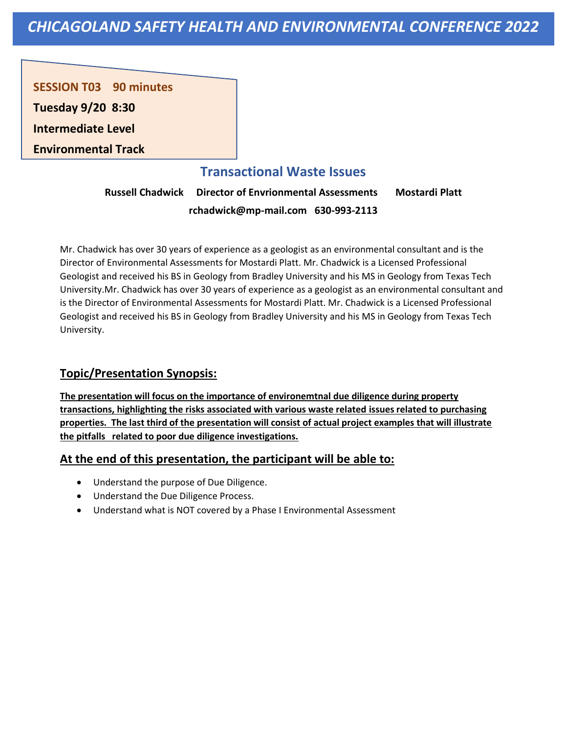**SESSION T03 90 minutes** 

**Tuesday 9/20 8:30**

**Intermediate Level** 

**Environmental Track**

### **Transactional Waste Issues**

**Russell Chadwick Director of Envrionmental Assessments Mostardi Platt rchadwick@mp-mail.com 630-993-2113**

Mr. Chadwick has over 30 years of experience as a geologist as an environmental consultant and is the Director of Environmental Assessments for Mostardi Platt. Mr. Chadwick is a Licensed Professional Geologist and received his BS in Geology from Bradley University and his MS in Geology from Texas Tech University.Mr. Chadwick has over 30 years of experience as a geologist as an environmental consultant and is the Director of Environmental Assessments for Mostardi Platt. Mr. Chadwick is a Licensed Professional Geologist and received his BS in Geology from Bradley University and his MS in Geology from Texas Tech University.

### **Topic/Presentation Synopsis:**

**The presentation will focus on the importance of environemtnal due diligence during property transactions, highlighting the risks associated with various waste related issues related to purchasing properties. The last third of the presentation will consist of actual project examples that will illustrate the pitfalls related to poor due diligence investigations.**

- Understand the purpose of Due Diligence.
- Understand the Due Diligence Process.
- Understand what is NOT covered by a Phase I Environmental Assessment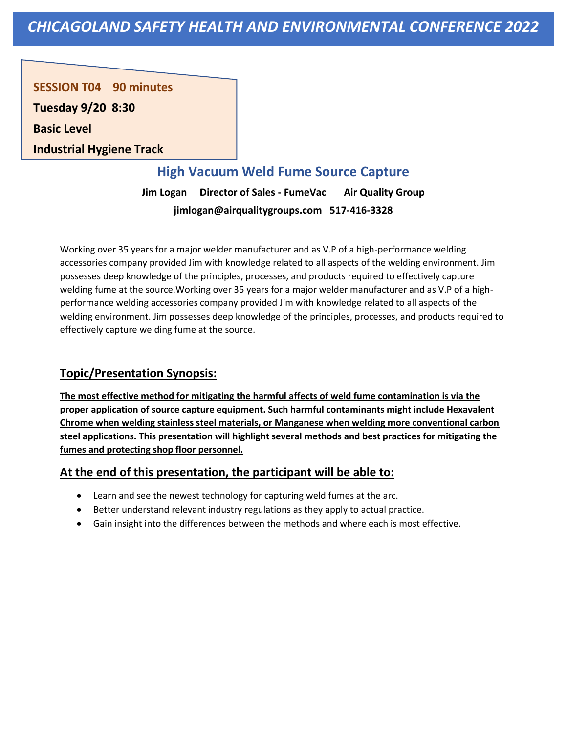**SESSION T04 90 minutes** 

**Tuesday 9/20 8:30**

**Basic Level** 

**Industrial Hygiene Track**

## **High Vacuum Weld Fume Source Capture**

**Jim Logan Director of Sales - FumeVac Air Quality Group jimlogan@airqualitygroups.com 517-416-3328**

Working over 35 years for a major welder manufacturer and as V.P of a high-performance welding accessories company provided Jim with knowledge related to all aspects of the welding environment. Jim possesses deep knowledge of the principles, processes, and products required to effectively capture welding fume at the source.Working over 35 years for a major welder manufacturer and as V.P of a highperformance welding accessories company provided Jim with knowledge related to all aspects of the welding environment. Jim possesses deep knowledge of the principles, processes, and products required to effectively capture welding fume at the source.

### **Topic/Presentation Synopsis:**

**The most effective method for mitigating the harmful affects of weld fume contamination is via the proper application of source capture equipment. Such harmful contaminants might include Hexavalent Chrome when welding stainless steel materials, or Manganese when welding more conventional carbon steel applications. This presentation will highlight several methods and best practices for mitigating the fumes and protecting shop floor personnel.**

- Learn and see the newest technology for capturing weld fumes at the arc.
- Better understand relevant industry regulations as they apply to actual practice.
- Gain insight into the differences between the methods and where each is most effective.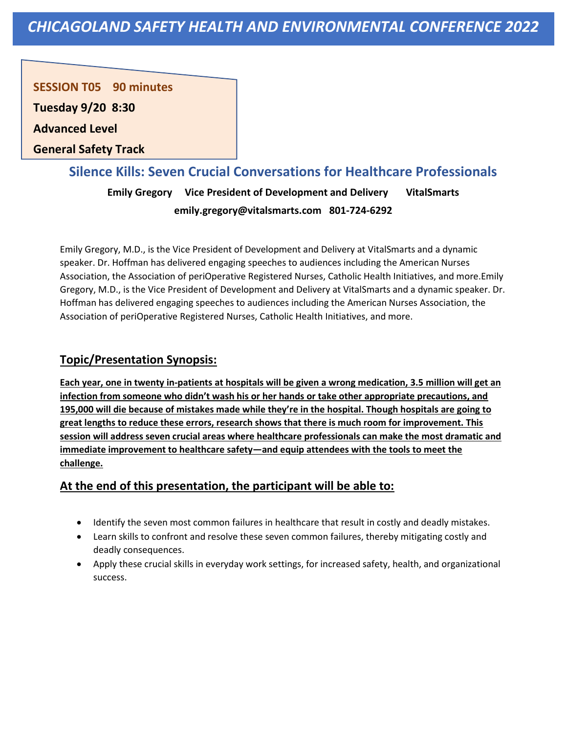**SESSION T05 90 minutes** 

**Tuesday 9/20 8:30**

**Advanced Level** 

**General Safety Track**

### **Silence Kills: Seven Crucial Conversations for Healthcare Professionals**

**Emily Gregory Vice President of Development and Delivery VitalSmarts emily.gregory@vitalsmarts.com 801-724-6292**

Emily Gregory, M.D., is the Vice President of Development and Delivery at VitalSmarts and a dynamic speaker. Dr. Hoffman has delivered engaging speeches to audiences including the American Nurses Association, the Association of periOperative Registered Nurses, Catholic Health Initiatives, and more.Emily Gregory, M.D., is the Vice President of Development and Delivery at VitalSmarts and a dynamic speaker. Dr. Hoffman has delivered engaging speeches to audiences including the American Nurses Association, the Association of periOperative Registered Nurses, Catholic Health Initiatives, and more.

### **Topic/Presentation Synopsis:**

**Each year, one in twenty in-patients at hospitals will be given a wrong medication, 3.5 million will get an infection from someone who didn't wash his or her hands or take other appropriate precautions, and 195,000 will die because of mistakes made while they're in the hospital. Though hospitals are going to great lengths to reduce these errors, research shows that there is much room for improvement. This session will address seven crucial areas where healthcare professionals can make the most dramatic and immediate improvement to healthcare safety—and equip attendees with the tools to meet the challenge.**

- Identify the seven most common failures in healthcare that result in costly and deadly mistakes.
- Learn skills to confront and resolve these seven common failures, thereby mitigating costly and deadly consequences.
- Apply these crucial skills in everyday work settings, for increased safety, health, and organizational success.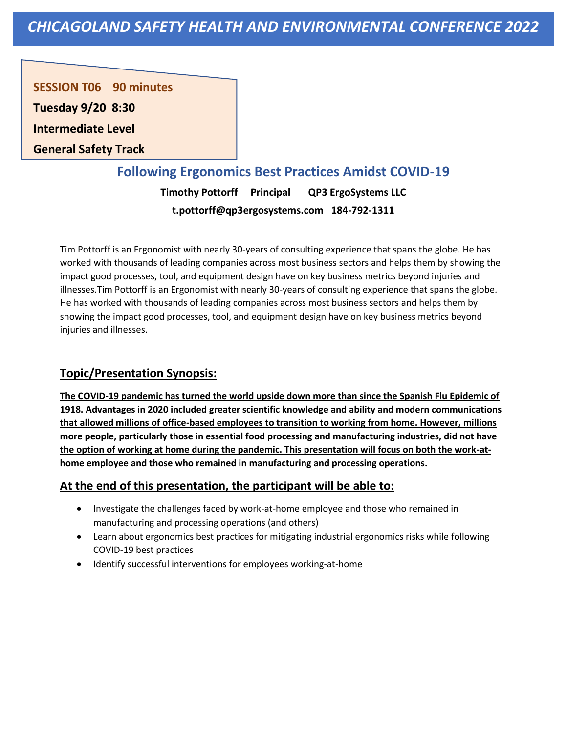**SESSION T06 90 minutes** 

**Tuesday 9/20 8:30**

**Intermediate Level** 

**General Safety Track**

### **Following Ergonomics Best Practices Amidst COVID-19**

**Timothy Pottorff Principal QP3 ErgoSystems LLC t.pottorff@qp3ergosystems.com 184-792-1311**

Tim Pottorff is an Ergonomist with nearly 30-years of consulting experience that spans the globe. He has worked with thousands of leading companies across most business sectors and helps them by showing the impact good processes, tool, and equipment design have on key business metrics beyond injuries and illnesses.Tim Pottorff is an Ergonomist with nearly 30-years of consulting experience that spans the globe. He has worked with thousands of leading companies across most business sectors and helps them by showing the impact good processes, tool, and equipment design have on key business metrics beyond injuries and illnesses.

### **Topic/Presentation Synopsis:**

**The COVID-19 pandemic has turned the world upside down more than since the Spanish Flu Epidemic of 1918. Advantages in 2020 included greater scientific knowledge and ability and modern communications that allowed millions of office-based employees to transition to working from home. However, millions more people, particularly those in essential food processing and manufacturing industries, did not have the option of working at home during the pandemic. This presentation will focus on both the work-athome employee and those who remained in manufacturing and processing operations.**

- Investigate the challenges faced by work-at-home employee and those who remained in manufacturing and processing operations (and others)
- Learn about ergonomics best practices for mitigating industrial ergonomics risks while following COVID-19 best practices
- Identify successful interventions for employees working-at-home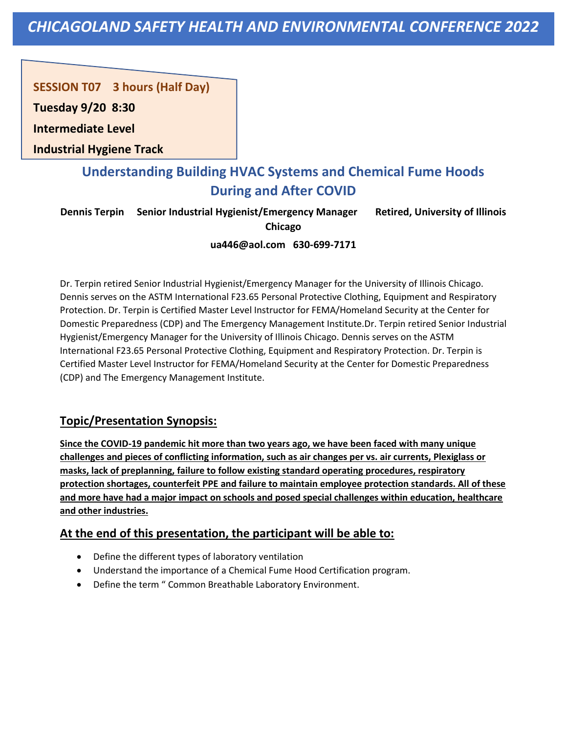**SESSION T07 3 hours (Half Day)** 

**Tuesday 9/20 8:30**

**Intermediate Level** 

**Industrial Hygiene Track**

# **Understanding Building HVAC Systems and Chemical Fume Hoods During and After COVID**

**Dennis Terpin Senior Industrial Hygienist/Emergency Manager Retired, University of Illinois Chicago**

**ua446@aol.com 630-699-7171**

Dr. Terpin retired Senior Industrial Hygienist/Emergency Manager for the University of Illinois Chicago. Dennis serves on the ASTM International F23.65 Personal Protective Clothing, Equipment and Respiratory Protection. Dr. Terpin is Certified Master Level Instructor for FEMA/Homeland Security at the Center for Domestic Preparedness (CDP) and The Emergency Management Institute.Dr. Terpin retired Senior Industrial Hygienist/Emergency Manager for the University of Illinois Chicago. Dennis serves on the ASTM International F23.65 Personal Protective Clothing, Equipment and Respiratory Protection. Dr. Terpin is Certified Master Level Instructor for FEMA/Homeland Security at the Center for Domestic Preparedness (CDP) and The Emergency Management Institute.

### **Topic/Presentation Synopsis:**

**Since the COVID-19 pandemic hit more than two years ago, we have been faced with many unique challenges and pieces of conflicting information, such as air changes per vs. air currents, Plexiglass or masks, lack of preplanning, failure to follow existing standard operating procedures, respiratory protection shortages, counterfeit PPE and failure to maintain employee protection standards. All of these and more have had a major impact on schools and posed special challenges within education, healthcare and other industries.**

- Define the different types of laboratory ventilation
- Understand the importance of a Chemical Fume Hood Certification program.
- Define the term " Common Breathable Laboratory Environment.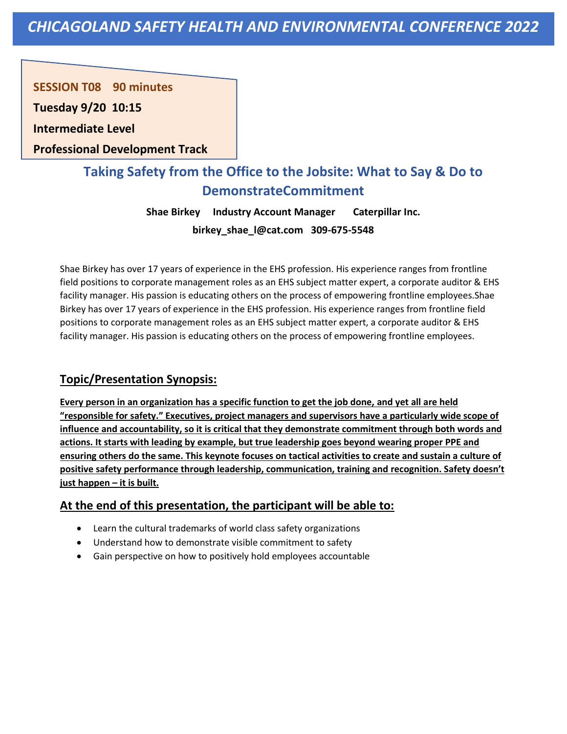**SESSION T08 90 minutes** 

**Tuesday 9/20 10:15**

**Intermediate Level** 

**Professional Development Track**

# **Taking Safety from the Office to the Jobsite: What to Say & Do to DemonstrateCommitment**

**Shae Birkey Industry Account Manager Caterpillar Inc. birkey\_shae\_l@cat.com 309-675-5548**

Shae Birkey has over 17 years of experience in the EHS profession. His experience ranges from frontline field positions to corporate management roles as an EHS subject matter expert, a corporate auditor & EHS facility manager. His passion is educating others on the process of empowering frontline employees.Shae Birkey has over 17 years of experience in the EHS profession. His experience ranges from frontline field positions to corporate management roles as an EHS subject matter expert, a corporate auditor & EHS facility manager. His passion is educating others on the process of empowering frontline employees.

### **Topic/Presentation Synopsis:**

**Every person in an organization has a specific function to get the job done, and yet all are held "responsible for safety." Executives, project managers and supervisors have a particularly wide scope of influence and accountability, so it is critical that they demonstrate commitment through both words and actions. It starts with leading by example, but true leadership goes beyond wearing proper PPE and ensuring others do the same. This keynote focuses on tactical activities to create and sustain a culture of positive safety performance through leadership, communication, training and recognition. Safety doesn't just happen – it is built.**

- Learn the cultural trademarks of world class safety organizations
- Understand how to demonstrate visible commitment to safety
- Gain perspective on how to positively hold employees accountable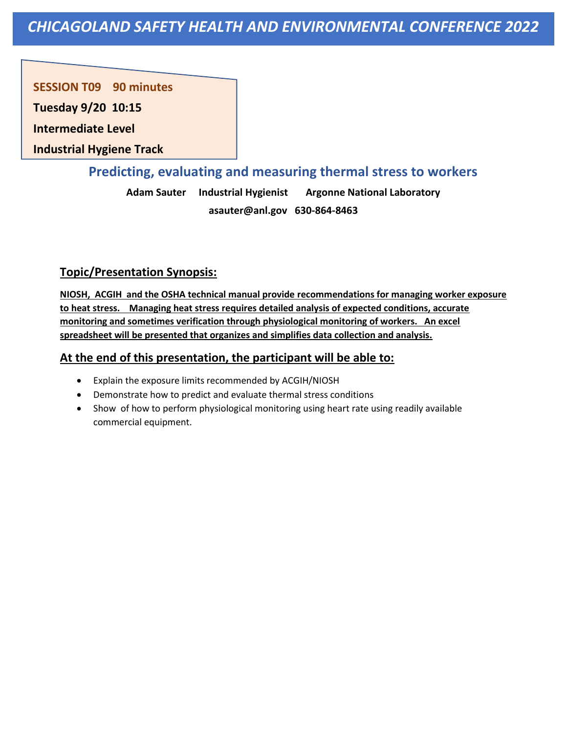**SESSION T09 90 minutes** 

**Tuesday 9/20 10:15**

**Intermediate Level** 

**Industrial Hygiene Track**

### **Predicting, evaluating and measuring thermal stress to workers**

**Adam Sauter Industrial Hygienist Argonne National Laboratory asauter@anl.gov 630-864-8463**

### **Topic/Presentation Synopsis:**

**NIOSH, ACGIH and the OSHA technical manual provide recommendations for managing worker exposure to heat stress. Managing heat stress requires detailed analysis of expected conditions, accurate monitoring and sometimes verification through physiological monitoring of workers. An excel spreadsheet will be presented that organizes and simplifies data collection and analysis.**

- Explain the exposure limits recommended by ACGIH/NIOSH
- Demonstrate how to predict and evaluate thermal stress conditions
- Show of how to perform physiological monitoring using heart rate using readily available commercial equipment.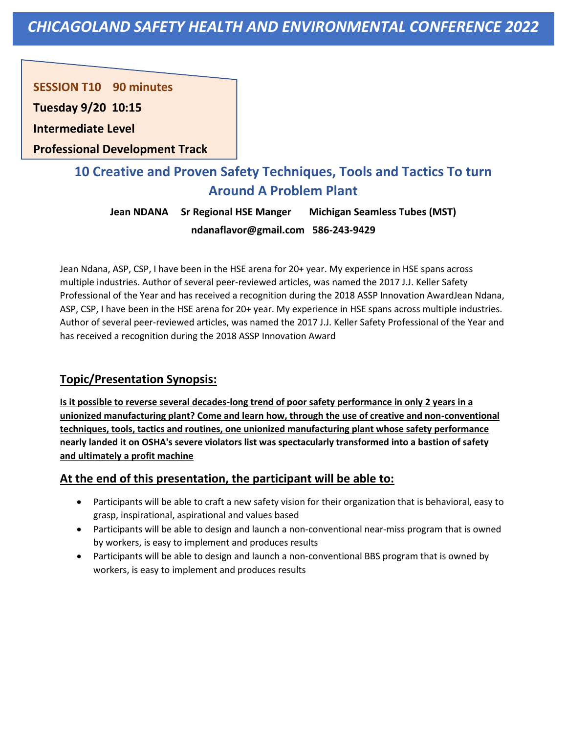**SESSION T10 90 minutes** 

**Tuesday 9/20 10:15**

**Intermediate Level** 

**Professional Development Track**

# **10 Creative and Proven Safety Techniques, Tools and Tactics To turn Around A Problem Plant**

**Jean NDANA Sr Regional HSE Manger Michigan Seamless Tubes (MST) ndanaflavor@gmail.com 586-243-9429**

Jean Ndana, ASP, CSP, I have been in the HSE arena for 20+ year. My experience in HSE spans across multiple industries. Author of several peer-reviewed articles, was named the 2017 J.J. Keller Safety Professional of the Year and has received a recognition during the 2018 ASSP Innovation AwardJean Ndana, ASP, CSP, I have been in the HSE arena for 20+ year. My experience in HSE spans across multiple industries. Author of several peer-reviewed articles, was named the 2017 J.J. Keller Safety Professional of the Year and has received a recognition during the 2018 ASSP Innovation Award

### **Topic/Presentation Synopsis:**

**Is it possible to reverse several decades-long trend of poor safety performance in only 2 years in a unionized manufacturing plant? Come and learn how, through the use of creative and non-conventional techniques, tools, tactics and routines, one unionized manufacturing plant whose safety performance nearly landed it on OSHA's severe violators list was spectacularly transformed into a bastion of safety and ultimately a profit machine**

- Participants will be able to craft a new safety vision for their organization that is behavioral, easy to grasp, inspirational, aspirational and values based
- Participants will be able to design and launch a non-conventional near-miss program that is owned by workers, is easy to implement and produces results
- Participants will be able to design and launch a non-conventional BBS program that is owned by workers, is easy to implement and produces results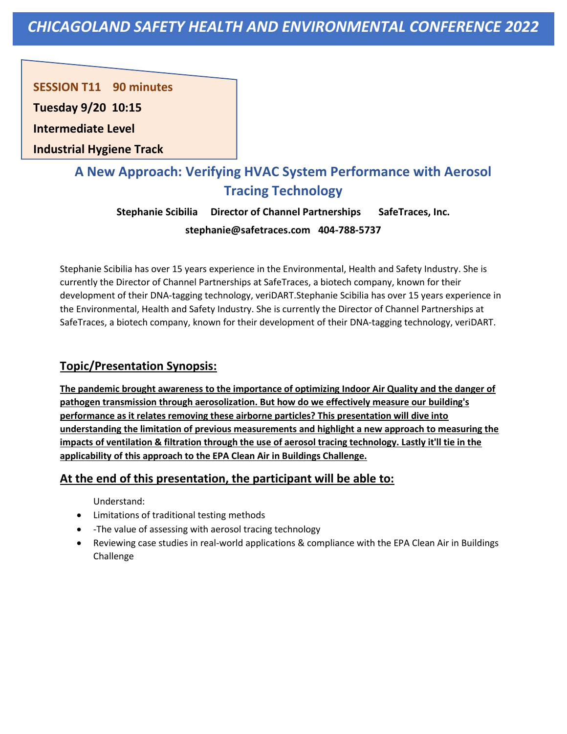**SESSION T11 90 minutes** 

**Tuesday 9/20 10:15**

**Intermediate Level** 

**Industrial Hygiene Track**

# **A New Approach: Verifying HVAC System Performance with Aerosol Tracing Technology**

**Stephanie Scibilia Director of Channel Partnerships SafeTraces, Inc. stephanie@safetraces.com 404-788-5737**

Stephanie Scibilia has over 15 years experience in the Environmental, Health and Safety Industry. She is currently the Director of Channel Partnerships at SafeTraces, a biotech company, known for their development of their DNA-tagging technology, veriDART.Stephanie Scibilia has over 15 years experience in the Environmental, Health and Safety Industry. She is currently the Director of Channel Partnerships at SafeTraces, a biotech company, known for their development of their DNA-tagging technology, veriDART.

### **Topic/Presentation Synopsis:**

**The pandemic brought awareness to the importance of optimizing Indoor Air Quality and the danger of pathogen transmission through aerosolization. But how do we effectively measure our building's performance as it relates removing these airborne particles? This presentation will dive into understanding the limitation of previous measurements and highlight a new approach to measuring the impacts of ventilation & filtration through the use of aerosol tracing technology. Lastly it'll tie in the applicability of this approach to the EPA Clean Air in Buildings Challenge.**

### **At the end of this presentation, the participant will be able to:**

Understand:

- Limitations of traditional testing methods
- -The value of assessing with aerosol tracing technology
- Reviewing case studies in real-world applications & compliance with the EPA Clean Air in Buildings Challenge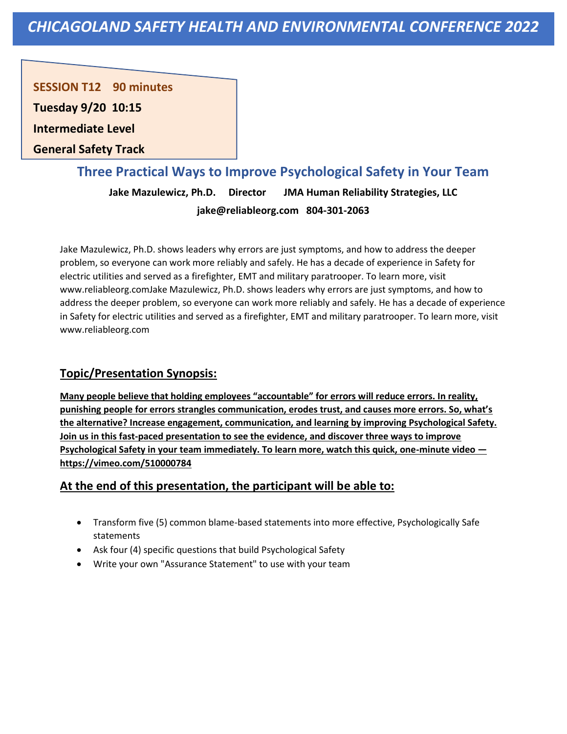**SESSION T12 90 minutes** 

**Tuesday 9/20 10:15**

**Intermediate Level** 

**General Safety Track**

## **Three Practical Ways to Improve Psychological Safety in Your Team**

**Jake Mazulewicz, Ph.D. Director JMA Human Reliability Strategies, LLC jake@reliableorg.com 804-301-2063**

Jake Mazulewicz, Ph.D. shows leaders why errors are just symptoms, and how to address the deeper problem, so everyone can work more reliably and safely. He has a decade of experience in Safety for electric utilities and served as a firefighter, EMT and military paratrooper. To learn more, visit www.reliableorg.comJake Mazulewicz, Ph.D. shows leaders why errors are just symptoms, and how to address the deeper problem, so everyone can work more reliably and safely. He has a decade of experience in Safety for electric utilities and served as a firefighter, EMT and military paratrooper. To learn more, visit www.reliableorg.com

### **Topic/Presentation Synopsis:**

**Many people believe that holding employees "accountable" for errors will reduce errors. In reality, punishing people for errors strangles communication, erodes trust, and causes more errors. So, what's the alternative? Increase engagement, communication, and learning by improving Psychological Safety. Join us in this fast-paced presentation to see the evidence, and discover three ways to improve Psychological Safety in your team immediately. To learn more, watch this quick, one-minute video https://vimeo.com/510000784**

- Transform five (5) common blame-based statements into more effective, Psychologically Safe statements
- Ask four (4) specific questions that build Psychological Safety
- Write your own "Assurance Statement" to use with your team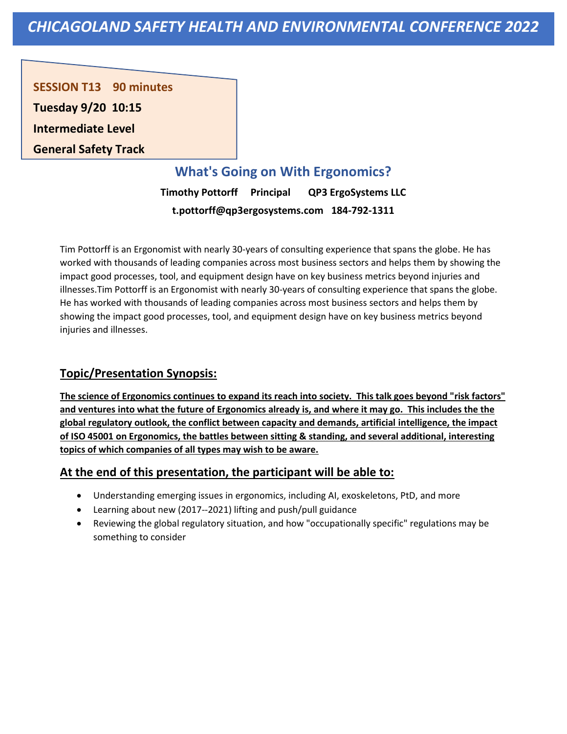**SESSION T13 90 minutes Tuesday 9/20 10:15 Intermediate Level General Safety Track**

# **What's Going on With Ergonomics?**

**Timothy Pottorff Principal QP3 ErgoSystems LLC t.pottorff@qp3ergosystems.com 184-792-1311**

Tim Pottorff is an Ergonomist with nearly 30-years of consulting experience that spans the globe. He has worked with thousands of leading companies across most business sectors and helps them by showing the impact good processes, tool, and equipment design have on key business metrics beyond injuries and illnesses.Tim Pottorff is an Ergonomist with nearly 30-years of consulting experience that spans the globe. He has worked with thousands of leading companies across most business sectors and helps them by showing the impact good processes, tool, and equipment design have on key business metrics beyond injuries and illnesses.

### **Topic/Presentation Synopsis:**

**The science of Ergonomics continues to expand its reach into society. This talk goes beyond "risk factors" and ventures into what the future of Ergonomics already is, and where it may go. This includes the the global regulatory outlook, the conflict between capacity and demands, artificial intelligence, the impact of ISO 45001 on Ergonomics, the battles between sitting & standing, and several additional, interesting topics of which companies of all types may wish to be aware.**

- Understanding emerging issues in ergonomics, including AI, exoskeletons, PtD, and more
- Learning about new (2017--2021) lifting and push/pull guidance
- Reviewing the global regulatory situation, and how "occupationally specific" regulations may be something to consider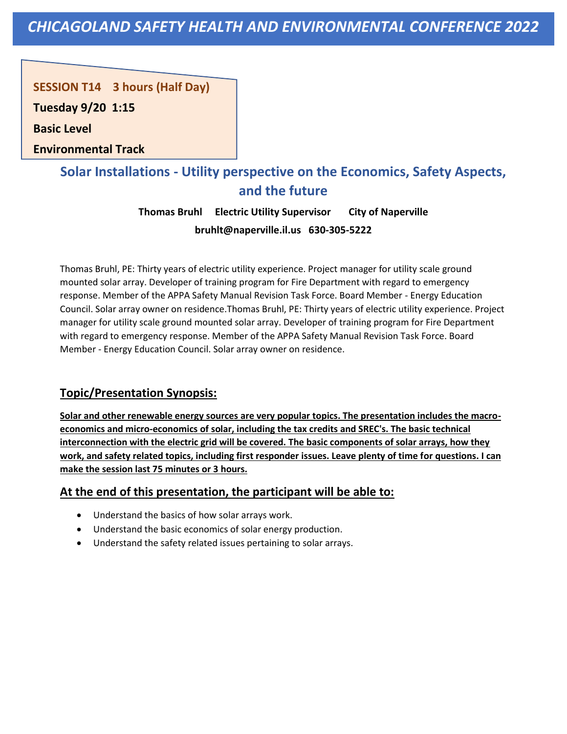**SESSION T14 3 hours (Half Day)** 

**Tuesday 9/20 1:15**

**Basic Level** 

**Environmental Track**

# **Solar Installations - Utility perspective on the Economics, Safety Aspects, and the future**

**Thomas Bruhl Electric Utility Supervisor City of Naperville bruhlt@naperville.il.us 630-305-5222**

Thomas Bruhl, PE: Thirty years of electric utility experience. Project manager for utility scale ground mounted solar array. Developer of training program for Fire Department with regard to emergency response. Member of the APPA Safety Manual Revision Task Force. Board Member - Energy Education Council. Solar array owner on residence.Thomas Bruhl, PE: Thirty years of electric utility experience. Project manager for utility scale ground mounted solar array. Developer of training program for Fire Department with regard to emergency response. Member of the APPA Safety Manual Revision Task Force. Board Member - Energy Education Council. Solar array owner on residence.

### **Topic/Presentation Synopsis:**

**Solar and other renewable energy sources are very popular topics. The presentation includes the macroeconomics and micro-economics of solar, including the tax credits and SREC's. The basic technical interconnection with the electric grid will be covered. The basic components of solar arrays, how they work, and safety related topics, including first responder issues. Leave plenty of time for questions. I can make the session last 75 minutes or 3 hours.**

- Understand the basics of how solar arrays work.
- Understand the basic economics of solar energy production.
- Understand the safety related issues pertaining to solar arrays.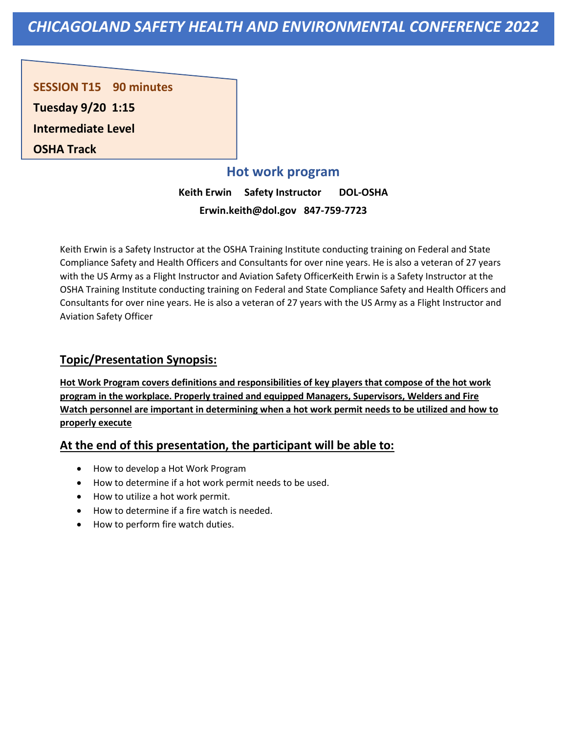**SESSION T15 90 minutes Tuesday 9/20 1:15 Intermediate Level OSHA Track**

### **Hot work program**

**Keith Erwin Safety Instructor DOL-OSHA Erwin.keith@dol.gov 847-759-7723**

Keith Erwin is a Safety Instructor at the OSHA Training Institute conducting training on Federal and State Compliance Safety and Health Officers and Consultants for over nine years. He is also a veteran of 27 years with the US Army as a Flight Instructor and Aviation Safety OfficerKeith Erwin is a Safety Instructor at the OSHA Training Institute conducting training on Federal and State Compliance Safety and Health Officers and Consultants for over nine years. He is also a veteran of 27 years with the US Army as a Flight Instructor and Aviation Safety Officer

#### **Topic/Presentation Synopsis:**

**Hot Work Program covers definitions and responsibilities of key players that compose of the hot work program in the workplace. Properly trained and equipped Managers, Supervisors, Welders and Fire Watch personnel are important in determining when a hot work permit needs to be utilized and how to properly execute**

- How to develop a Hot Work Program
- How to determine if a hot work permit needs to be used.
- How to utilize a hot work permit.
- How to determine if a fire watch is needed.
- How to perform fire watch duties.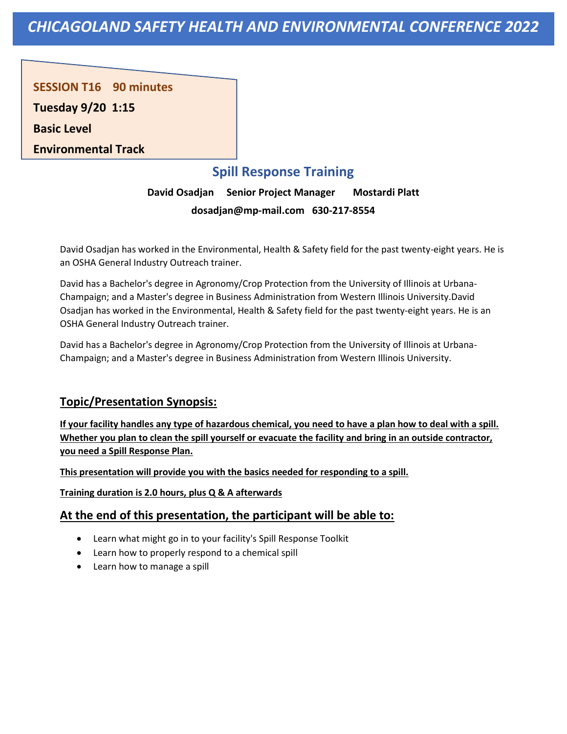**SESSION T16 90 minutes** 

**Tuesday 9/20 1:15**

**Basic Level** 

**Environmental Track**

# **Spill Response Training**

**David Osadjan Senior Project Manager Mostardi Platt dosadjan@mp-mail.com 630-217-8554**

David Osadjan has worked in the Environmental, Health & Safety field for the past twenty-eight years. He is an OSHA General Industry Outreach trainer.

David has a Bachelor's degree in Agronomy/Crop Protection from the University of Illinois at Urbana-Champaign; and a Master's degree in Business Administration from Western Illinois University.David Osadjan has worked in the Environmental, Health & Safety field for the past twenty-eight years. He is an OSHA General Industry Outreach trainer.

David has a Bachelor's degree in Agronomy/Crop Protection from the University of Illinois at Urbana-Champaign; and a Master's degree in Business Administration from Western Illinois University.

### **Topic/Presentation Synopsis:**

**If your facility handles any type of hazardous chemical, you need to have a plan how to deal with a spill. Whether you plan to clean the spill yourself or evacuate the facility and bring in an outside contractor, you need a Spill Response Plan.** 

**This presentation will provide you with the basics needed for responding to a spill.** 

**Training duration is 2.0 hours, plus Q & A afterwards**

- Learn what might go in to your facility's Spill Response Toolkit
- Learn how to properly respond to a chemical spill
- Learn how to manage a spill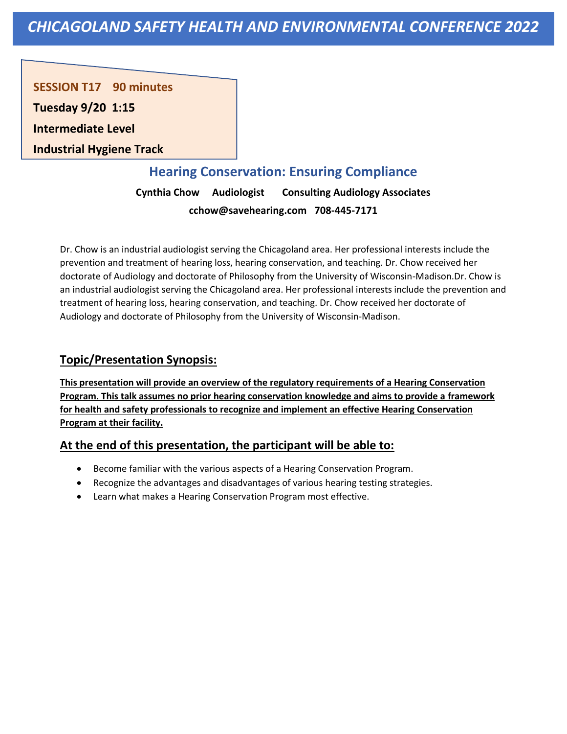**SESSION T17 90 minutes** 

**Tuesday 9/20 1:15**

**Intermediate Level** 

**Industrial Hygiene Track**

# **Hearing Conservation: Ensuring Compliance**

**Cynthia Chow Audiologist Consulting Audiology Associates cchow@savehearing.com 708-445-7171**

Dr. Chow is an industrial audiologist serving the Chicagoland area. Her professional interests include the prevention and treatment of hearing loss, hearing conservation, and teaching. Dr. Chow received her doctorate of Audiology and doctorate of Philosophy from the University of Wisconsin-Madison.Dr. Chow is an industrial audiologist serving the Chicagoland area. Her professional interests include the prevention and treatment of hearing loss, hearing conservation, and teaching. Dr. Chow received her doctorate of Audiology and doctorate of Philosophy from the University of Wisconsin-Madison.

### **Topic/Presentation Synopsis:**

**This presentation will provide an overview of the regulatory requirements of a Hearing Conservation Program. This talk assumes no prior hearing conservation knowledge and aims to provide a framework for health and safety professionals to recognize and implement an effective Hearing Conservation Program at their facility.**

- Become familiar with the various aspects of a Hearing Conservation Program.
- Recognize the advantages and disadvantages of various hearing testing strategies.
- Learn what makes a Hearing Conservation Program most effective.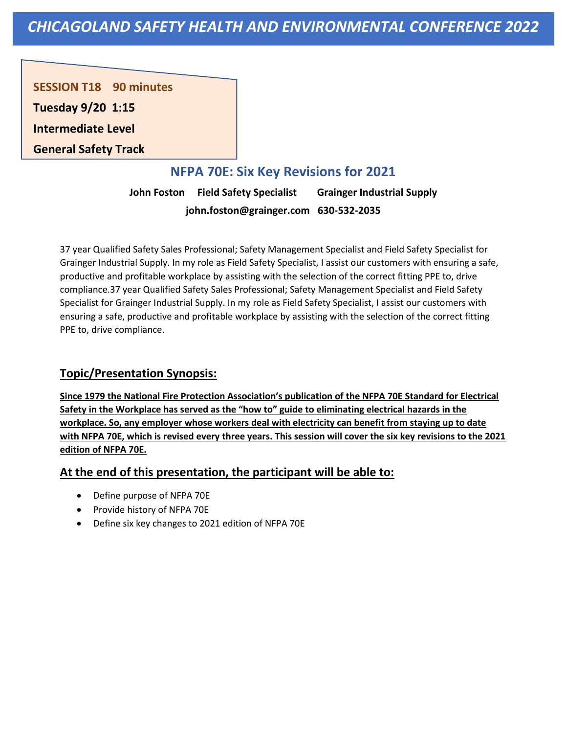**SESSION T18 90 minutes** 

**Tuesday 9/20 1:15**

**Intermediate Level** 

**General Safety Track**

# **NFPA 70E: Six Key Revisions for 2021**

**John Foston Field Safety Specialist  Grainger Industrial Supply john.foston@grainger.com 630-532-2035**

37 year Qualified Safety Sales Professional; Safety Management Specialist and Field Safety Specialist for Grainger Industrial Supply. In my role as Field Safety Specialist, I assist our customers with ensuring a safe, productive and profitable workplace by assisting with the selection of the correct fitting PPE to, drive compliance.37 year Qualified Safety Sales Professional; Safety Management Specialist and Field Safety Specialist for Grainger Industrial Supply. In my role as Field Safety Specialist, I assist our customers with ensuring a safe, productive and profitable workplace by assisting with the selection of the correct fitting PPE to, drive compliance.

### **Topic/Presentation Synopsis:**

**Since 1979 the National Fire Protection Association's publication of the NFPA 70E Standard for Electrical Safety in the Workplace has served as the "how to" guide to eliminating electrical hazards in the workplace. So, any employer whose workers deal with electricity can benefit from staying up to date with NFPA 70E, which is revised every three years. This session will cover the six key revisions to the 2021 edition of NFPA 70E.**

- Define purpose of NFPA 70E
- Provide history of NFPA 70E
- Define six key changes to 2021 edition of NFPA 70E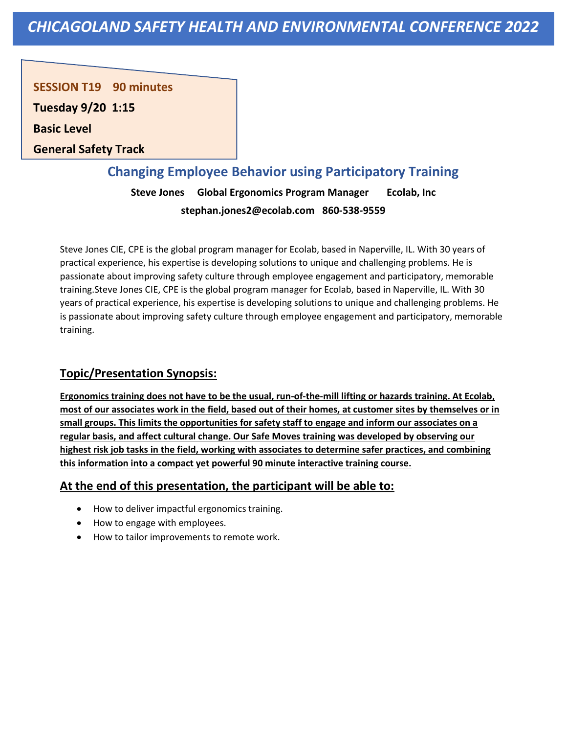**SESSION T19 90 minutes** 

**Tuesday 9/20 1:15**

**Basic Level** 

**General Safety Track**

# **Changing Employee Behavior using Participatory Training**

**Steve Jones Global Ergonomics Program Manager Ecolab, Inc stephan.jones2@ecolab.com 860-538-9559**

Steve Jones CIE, CPE is the global program manager for Ecolab, based in Naperville, IL. With 30 years of practical experience, his expertise is developing solutions to unique and challenging problems. He is passionate about improving safety culture through employee engagement and participatory, memorable training.Steve Jones CIE, CPE is the global program manager for Ecolab, based in Naperville, IL. With 30 years of practical experience, his expertise is developing solutions to unique and challenging problems. He is passionate about improving safety culture through employee engagement and participatory, memorable training.

### **Topic/Presentation Synopsis:**

**Ergonomics training does not have to be the usual, run-of-the-mill lifting or hazards training. At Ecolab, most of our associates work in the field, based out of their homes, at customer sites by themselves or in small groups. This limits the opportunities for safety staff to engage and inform our associates on a regular basis, and affect cultural change. Our Safe Moves training was developed by observing our highest risk job tasks in the field, working with associates to determine safer practices, and combining this information into a compact yet powerful 90 minute interactive training course.**

- How to deliver impactful ergonomics training.
- How to engage with employees.
- How to tailor improvements to remote work.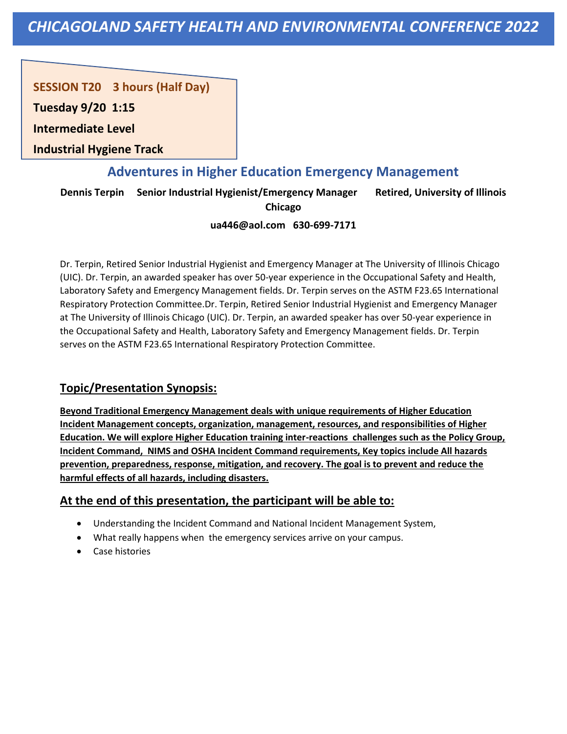**SESSION T20 3 hours (Half Day)** 

**Tuesday 9/20 1:15**

**Intermediate Level** 

**Industrial Hygiene Track**

## **Adventures in Higher Education Emergency Management**

**Dennis Terpin Senior Industrial Hygienist/Emergency Manager Retired, University of Illinois** 

**Chicago**

#### **ua446@aol.com 630-699-7171**

Dr. Terpin, Retired Senior Industrial Hygienist and Emergency Manager at The University of Illinois Chicago (UIC). Dr. Terpin, an awarded speaker has over 50-year experience in the Occupational Safety and Health, Laboratory Safety and Emergency Management fields. Dr. Terpin serves on the ASTM F23.65 International Respiratory Protection Committee.Dr. Terpin, Retired Senior Industrial Hygienist and Emergency Manager at The University of Illinois Chicago (UIC). Dr. Terpin, an awarded speaker has over 50-year experience in the Occupational Safety and Health, Laboratory Safety and Emergency Management fields. Dr. Terpin serves on the ASTM F23.65 International Respiratory Protection Committee.

## **Topic/Presentation Synopsis:**

**Beyond Traditional Emergency Management deals with unique requirements of Higher Education Incident Management concepts, organization, management, resources, and responsibilities of Higher Education. We will explore Higher Education training inter-reactions challenges such as the Policy Group, Incident Command, NIMS and OSHA Incident Command requirements, Key topics include All hazards prevention, preparedness, response, mitigation, and recovery. The goal is to prevent and reduce the harmful effects of all hazards, including disasters.**

- Understanding the Incident Command and National Incident Management System,
- What really happens when the emergency services arrive on your campus.
- Case histories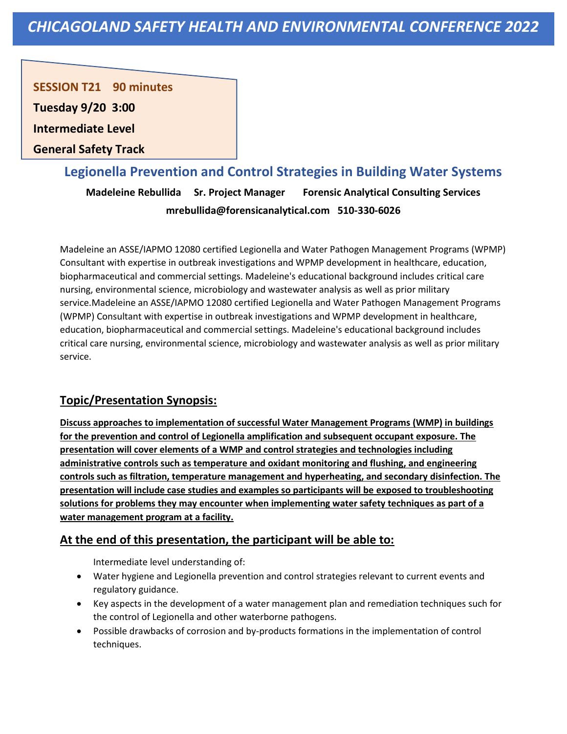**SESSION T21 90 minutes** 

**Tuesday 9/20 3:00**

**Intermediate Level** 

**General Safety Track**

## **Legionella Prevention and Control Strategies in Building Water Systems**

**Madeleine Rebullida Sr. Project Manager Forensic Analytical Consulting Services mrebullida@forensicanalytical.com 510-330-6026**

Madeleine an ASSE/IAPMO 12080 certified Legionella and Water Pathogen Management Programs (WPMP) Consultant with expertise in outbreak investigations and WPMP development in healthcare, education, biopharmaceutical and commercial settings. Madeleine's educational background includes critical care nursing, environmental science, microbiology and wastewater analysis as well as prior military service.Madeleine an ASSE/IAPMO 12080 certified Legionella and Water Pathogen Management Programs (WPMP) Consultant with expertise in outbreak investigations and WPMP development in healthcare, education, biopharmaceutical and commercial settings. Madeleine's educational background includes critical care nursing, environmental science, microbiology and wastewater analysis as well as prior military service.

## **Topic/Presentation Synopsis:**

**Discuss approaches to implementation of successful Water Management Programs (WMP) in buildings for the prevention and control of Legionella amplification and subsequent occupant exposure. The presentation will cover elements of a WMP and control strategies and technologies including administrative controls such as temperature and oxidant monitoring and flushing, and engineering controls such as filtration, temperature management and hyperheating, and secondary disinfection. The presentation will include case studies and examples so participants will be exposed to troubleshooting solutions for problems they may encounter when implementing water safety techniques as part of a water management program at a facility.**

## **At the end of this presentation, the participant will be able to:**

Intermediate level understanding of:

- Water hygiene and Legionella prevention and control strategies relevant to current events and regulatory guidance.
- Key aspects in the development of a water management plan and remediation techniques such for the control of Legionella and other waterborne pathogens.
- Possible drawbacks of corrosion and by-products formations in the implementation of control techniques.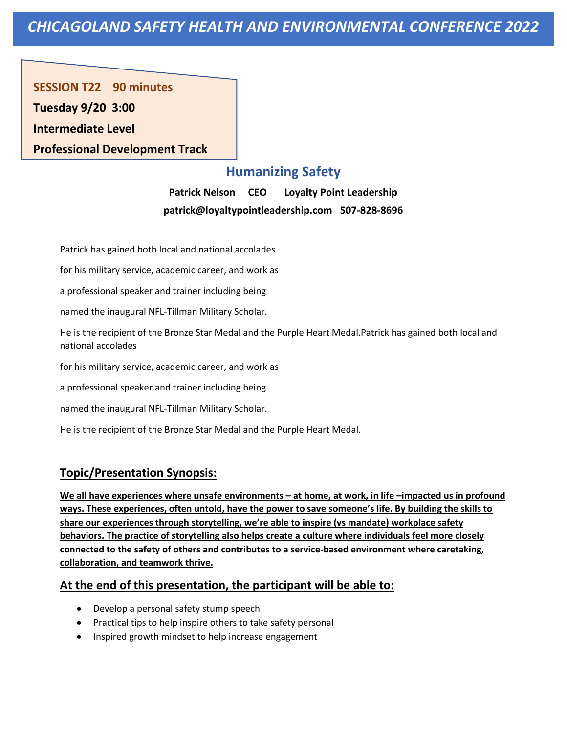**SESSION T22 90 minutes Tuesday 9/20 3:00 Intermediate Level Professional Development Track**

# **Humanizing Safety**

**Patrick Nelson CEO Loyalty Point Leadership patrick@loyaltypointleadership.com 507-828-8696**

Patrick has gained both local and national accolades

for his military service, academic career, and work as

a professional speaker and trainer including being

named the inaugural NFL-Tillman Military Scholar.

He is the recipient of the Bronze Star Medal and the Purple Heart Medal.Patrick has gained both local and national accolades

for his military service, academic career, and work as

a professional speaker and trainer including being

named the inaugural NFL-Tillman Military Scholar.

He is the recipient of the Bronze Star Medal and the Purple Heart Medal.

## **Topic/Presentation Synopsis:**

**We all have experiences where unsafe environments – at home, at work, in life –impacted us in profound ways. These experiences, often untold, have the power to save someone's life. By building the skills to share our experiences through storytelling, we're able to inspire (vs mandate) workplace safety behaviors. The practice of storytelling also helps create a culture where individuals feel more closely connected to the safety of others and contributes to a service-based environment where caretaking, collaboration, and teamwork thrive.**

- Develop a personal safety stump speech
- Practical tips to help inspire others to take safety personal
- Inspired growth mindset to help increase engagement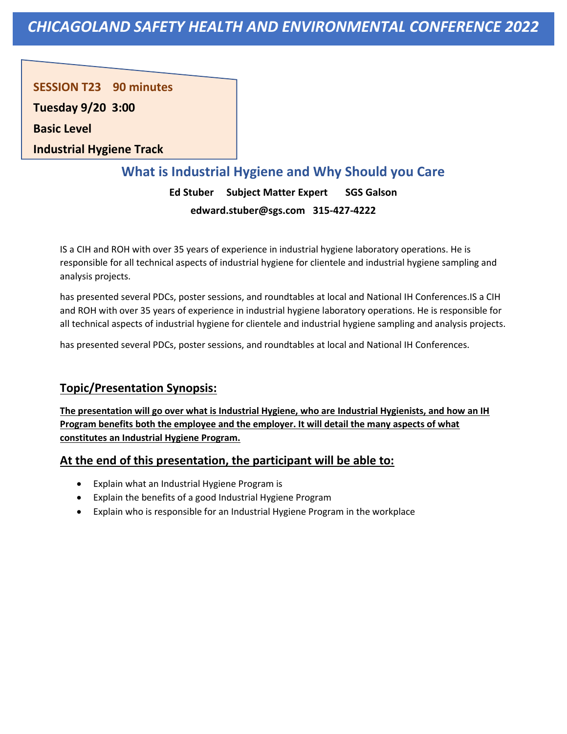**SESSION T23 90 minutes** 

**Tuesday 9/20 3:00**

**Basic Level** 

**Industrial Hygiene Track**

## **What is Industrial Hygiene and Why Should you Care**

**Ed Stuber Subject Matter Expert SGS Galson edward.stuber@sgs.com 315-427-4222**

IS a CIH and ROH with over 35 years of experience in industrial hygiene laboratory operations. He is responsible for all technical aspects of industrial hygiene for clientele and industrial hygiene sampling and analysis projects.

has presented several PDCs, poster sessions, and roundtables at local and National IH Conferences.IS a CIH and ROH with over 35 years of experience in industrial hygiene laboratory operations. He is responsible for all technical aspects of industrial hygiene for clientele and industrial hygiene sampling and analysis projects.

has presented several PDCs, poster sessions, and roundtables at local and National IH Conferences.

## **Topic/Presentation Synopsis:**

**The presentation will go over what is Industrial Hygiene, who are Industrial Hygienists, and how an IH Program benefits both the employee and the employer. It will detail the many aspects of what constitutes an Industrial Hygiene Program.**

- Explain what an Industrial Hygiene Program is
- Explain the benefits of a good Industrial Hygiene Program
- Explain who is responsible for an Industrial Hygiene Program in the workplace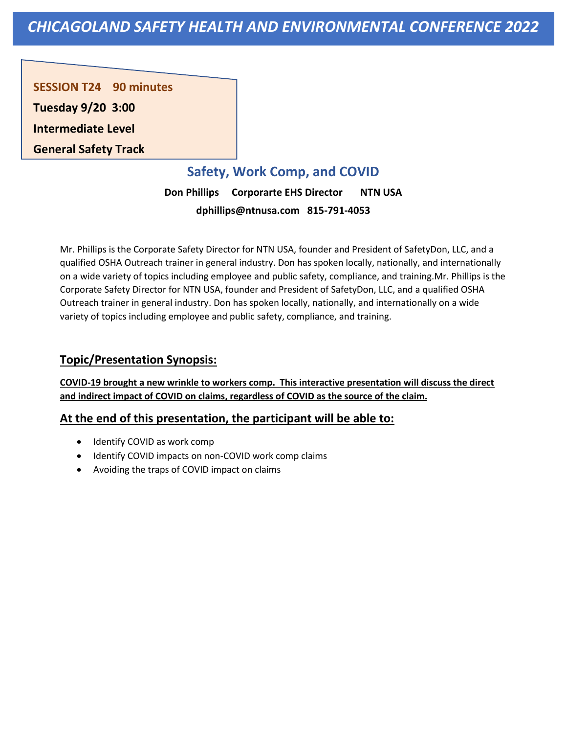**SESSION T24 90 minutes Tuesday 9/20 3:00 Intermediate Level General Safety Track**

# **Safety, Work Comp, and COVID**

**Don Phillips Corporarte EHS Director NTN USA dphillips@ntnusa.com 815-791-4053**

Mr. Phillips is the Corporate Safety Director for NTN USA, founder and President of SafetyDon, LLC, and a qualified OSHA Outreach trainer in general industry. Don has spoken locally, nationally, and internationally on a wide variety of topics including employee and public safety, compliance, and training.Mr. Phillips is the Corporate Safety Director for NTN USA, founder and President of SafetyDon, LLC, and a qualified OSHA Outreach trainer in general industry. Don has spoken locally, nationally, and internationally on a wide variety of topics including employee and public safety, compliance, and training.

## **Topic/Presentation Synopsis:**

**COVID-19 brought a new wrinkle to workers comp. This interactive presentation will discuss the direct and indirect impact of COVID on claims, regardless of COVID as the source of the claim.**

- Identify COVID as work comp
- Identify COVID impacts on non-COVID work comp claims
- Avoiding the traps of COVID impact on claims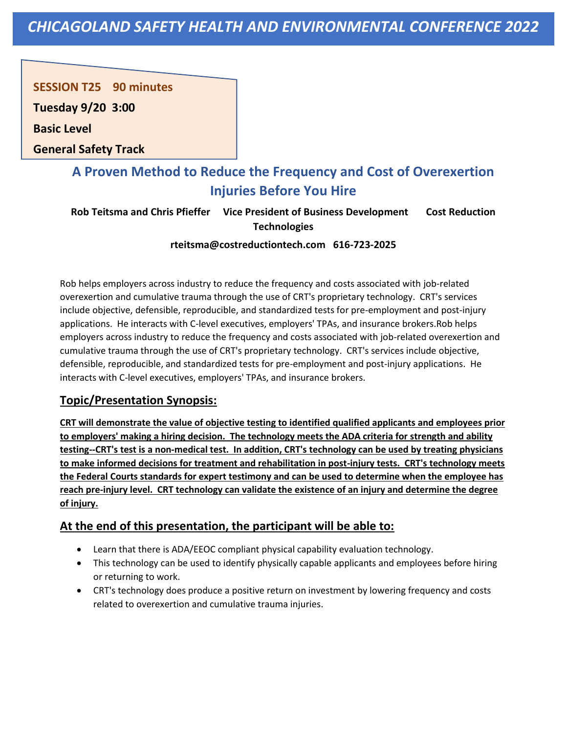**SESSION T25 90 minutes** 

**Tuesday 9/20 3:00**

**Basic Level** 

**General Safety Track**

# **A Proven Method to Reduce the Frequency and Cost of Overexertion Injuries Before You Hire**

**Rob Teitsma and Chris Pfieffer Vice President of Business Development Cost Reduction Technologies**

**rteitsma@costreductiontech.com 616-723-2025**

Rob helps employers across industry to reduce the frequency and costs associated with job-related overexertion and cumulative trauma through the use of CRT's proprietary technology. CRT's services include objective, defensible, reproducible, and standardized tests for pre-employment and post-injury applications. He interacts with C-level executives, employers' TPAs, and insurance brokers.Rob helps employers across industry to reduce the frequency and costs associated with job-related overexertion and cumulative trauma through the use of CRT's proprietary technology. CRT's services include objective, defensible, reproducible, and standardized tests for pre-employment and post-injury applications. He interacts with C-level executives, employers' TPAs, and insurance brokers.

## **Topic/Presentation Synopsis:**

**CRT will demonstrate the value of objective testing to identified qualified applicants and employees prior to employers' making a hiring decision. The technology meets the ADA criteria for strength and ability testing--CRT's test is a non-medical test. In addition, CRT's technology can be used by treating physicians to make informed decisions for treatment and rehabilitation in post-injury tests. CRT's technology meets the Federal Courts standards for expert testimony and can be used to determine when the employee has reach pre-injury level. CRT technology can validate the existence of an injury and determine the degree of injury.**

- Learn that there is ADA/EEOC compliant physical capability evaluation technology.
- This technology can be used to identify physically capable applicants and employees before hiring or returning to work.
- CRT's technology does produce a positive return on investment by lowering frequency and costs related to overexertion and cumulative trauma injuries.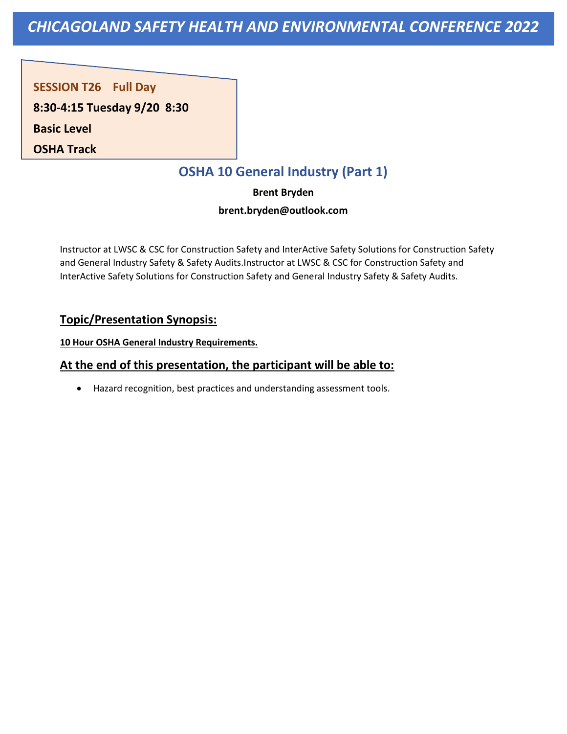**SESSION T26 Full Day** 

**8:30-4:15 Tuesday 9/20 8:30**

**Basic Level** 

**OSHA Track**

# **OSHA 10 General Industry (Part 1)**

**Brent Bryden** 

#### **brent.bryden@outlook.com**

Instructor at LWSC & CSC for Construction Safety and InterActive Safety Solutions for Construction Safety and General Industry Safety & Safety Audits.Instructor at LWSC & CSC for Construction Safety and InterActive Safety Solutions for Construction Safety and General Industry Safety & Safety Audits.

## **Topic/Presentation Synopsis:**

**10 Hour OSHA General Industry Requirements.**

## **At the end of this presentation, the participant will be able to:**

• Hazard recognition, best practices and understanding assessment tools.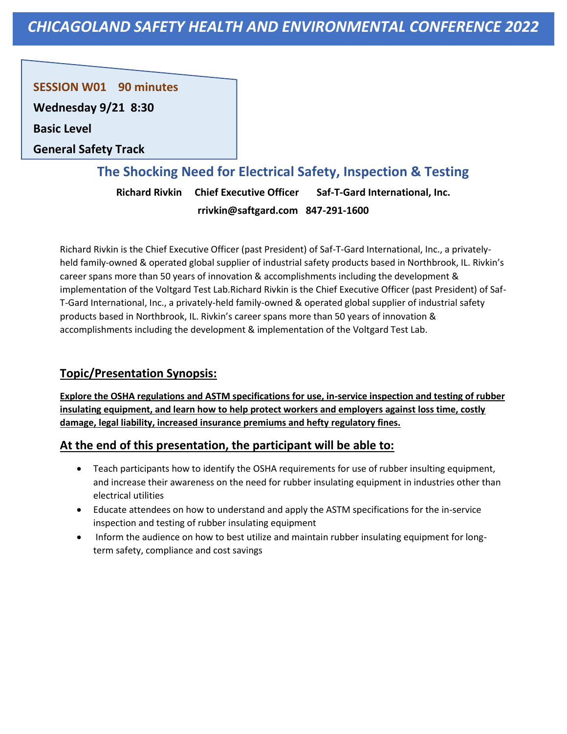**SESSION W01 90 minutes** 

**Wednesday 9/21 8:30**

**Basic Level** 

**General Safety Track**

## **The Shocking Need for Electrical Safety, Inspection & Testing**

**Richard Rivkin Chief Executive Officer Saf-T-Gard International, Inc. rrivkin@saftgard.com 847-291-1600**

Richard Rivkin is the Chief Executive Officer (past President) of Saf-T-Gard International, Inc., a privatelyheld family-owned & operated global supplier of industrial safety products based in Northbrook, IL. Rivkin's career spans more than 50 years of innovation & accomplishments including the development & implementation of the Voltgard Test Lab.Richard Rivkin is the Chief Executive Officer (past President) of Saf-T-Gard International, Inc., a privately-held family-owned & operated global supplier of industrial safety products based in Northbrook, IL. Rivkin's career spans more than 50 years of innovation & accomplishments including the development & implementation of the Voltgard Test Lab.

## **Topic/Presentation Synopsis:**

**Explore the OSHA regulations and ASTM specifications for use, in-service inspection and testing of rubber insulating equipment, and learn how to help protect workers and employers against loss time, costly damage, legal liability, increased insurance premiums and hefty regulatory fines.**

- Teach participants how to identify the OSHA requirements for use of rubber insulting equipment, and increase their awareness on the need for rubber insulating equipment in industries other than electrical utilities
- Educate attendees on how to understand and apply the ASTM specifications for the in-service inspection and testing of rubber insulating equipment
- Inform the audience on how to best utilize and maintain rubber insulating equipment for longterm safety, compliance and cost savings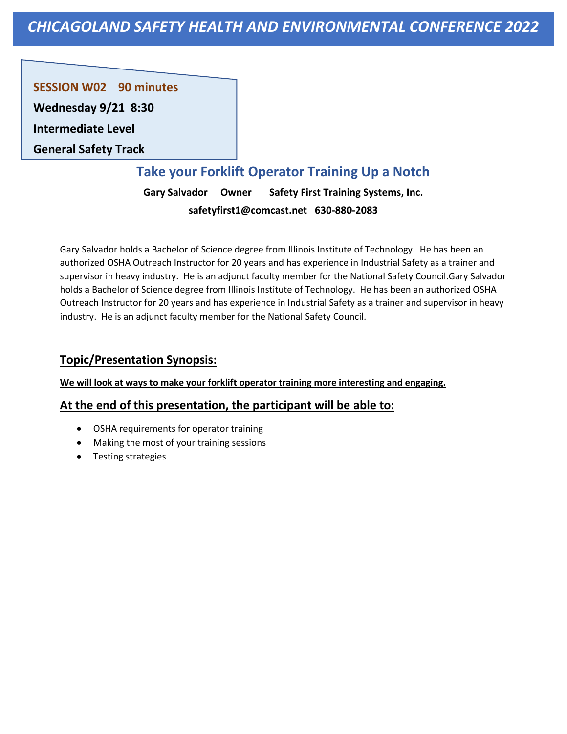**SESSION W02 90 minutes** 

**Wednesday 9/21 8:30**

**Intermediate Level** 

**General Safety Track**

# **Take your Forklift Operator Training Up a Notch**

**Gary Salvador Owner Safety First Training Systems, Inc. safetyfirst1@comcast.net 630-880-2083**

Gary Salvador holds a Bachelor of Science degree from Illinois Institute of Technology. He has been an authorized OSHA Outreach Instructor for 20 years and has experience in Industrial Safety as a trainer and supervisor in heavy industry. He is an adjunct faculty member for the National Safety Council.Gary Salvador holds a Bachelor of Science degree from Illinois Institute of Technology. He has been an authorized OSHA Outreach Instructor for 20 years and has experience in Industrial Safety as a trainer and supervisor in heavy industry. He is an adjunct faculty member for the National Safety Council.

## **Topic/Presentation Synopsis:**

#### **We will look at ways to make your forklift operator training more interesting and engaging.**

- OSHA requirements for operator training
- Making the most of your training sessions
- Testing strategies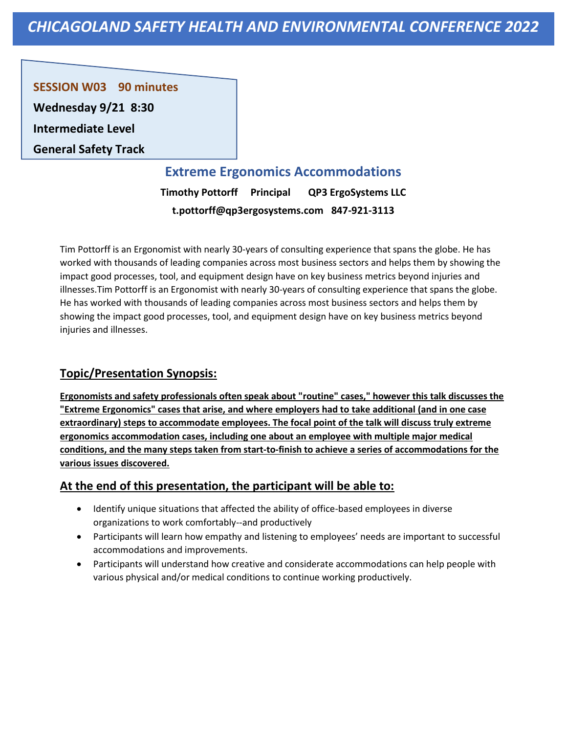**SESSION W03 90 minutes** 

**Wednesday 9/21 8:30**

**Intermediate Level** 

**General Safety Track**

## **Extreme Ergonomics Accommodations**

**Timothy Pottorff Principal QP3 ErgoSystems LLC t.pottorff@qp3ergosystems.com 847-921-3113**

Tim Pottorff is an Ergonomist with nearly 30-years of consulting experience that spans the globe. He has worked with thousands of leading companies across most business sectors and helps them by showing the impact good processes, tool, and equipment design have on key business metrics beyond injuries and illnesses.Tim Pottorff is an Ergonomist with nearly 30-years of consulting experience that spans the globe. He has worked with thousands of leading companies across most business sectors and helps them by showing the impact good processes, tool, and equipment design have on key business metrics beyond injuries and illnesses.

## **Topic/Presentation Synopsis:**

**Ergonomists and safety professionals often speak about "routine" cases," however this talk discusses the "Extreme Ergonomics" cases that arise, and where employers had to take additional (and in one case extraordinary) steps to accommodate employees. The focal point of the talk will discuss truly extreme ergonomics accommodation cases, including one about an employee with multiple major medical conditions, and the many steps taken from start-to-finish to achieve a series of accommodations for the various issues discovered.**

- Identify unique situations that affected the ability of office-based employees in diverse organizations to work comfortably--and productively
- Participants will learn how empathy and listening to employees' needs are important to successful accommodations and improvements.
- Participants will understand how creative and considerate accommodations can help people with various physical and/or medical conditions to continue working productively.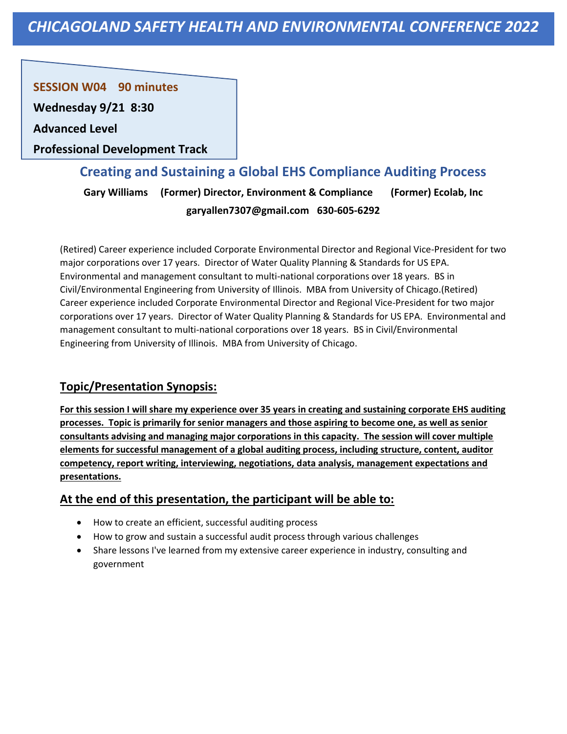**SESSION W04 90 minutes** 

**Wednesday 9/21 8:30**

**Advanced Level** 

**Professional Development Track**

## **Creating and Sustaining a Global EHS Compliance Auditing Process**

**Gary Williams (Former) Director, Environment & Compliance (Former) Ecolab, Inc garyallen7307@gmail.com 630-605-6292**

(Retired) Career experience included Corporate Environmental Director and Regional Vice-President for two major corporations over 17 years. Director of Water Quality Planning & Standards for US EPA. Environmental and management consultant to multi-national corporations over 18 years. BS in Civil/Environmental Engineering from University of Illinois. MBA from University of Chicago.(Retired) Career experience included Corporate Environmental Director and Regional Vice-President for two major corporations over 17 years. Director of Water Quality Planning & Standards for US EPA. Environmental and management consultant to multi-national corporations over 18 years. BS in Civil/Environmental Engineering from University of Illinois. MBA from University of Chicago.

## **Topic/Presentation Synopsis:**

**For this session I will share my experience over 35 years in creating and sustaining corporate EHS auditing processes. Topic is primarily for senior managers and those aspiring to become one, as well as senior consultants advising and managing major corporations in this capacity. The session will cover multiple elements for successful management of a global auditing process, including structure, content, auditor competency, report writing, interviewing, negotiations, data analysis, management expectations and presentations.**

- How to create an efficient, successful auditing process
- How to grow and sustain a successful audit process through various challenges
- Share lessons I've learned from my extensive career experience in industry, consulting and government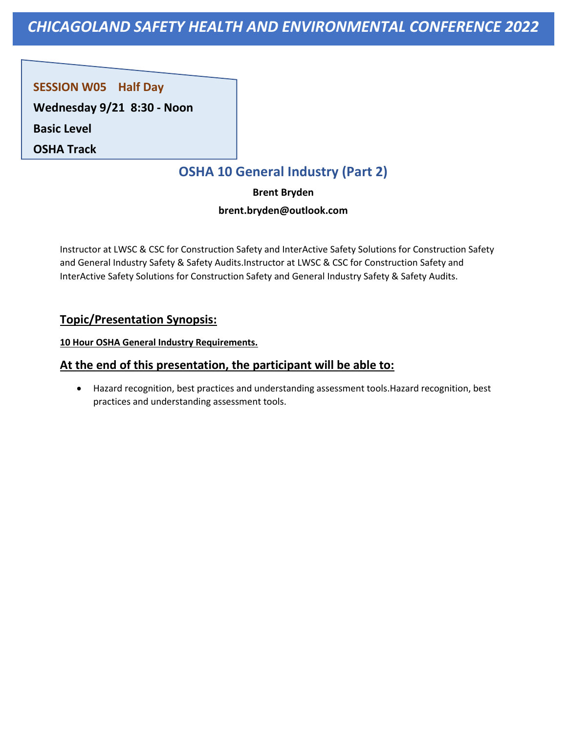**SESSION W05 Half Day** 

**Wednesday 9/21 8:30 - Noon**

**Basic Level** 

**OSHA Track**

# **OSHA 10 General Industry (Part 2)**

**Brent Bryden** 

#### **brent.bryden@outlook.com**

Instructor at LWSC & CSC for Construction Safety and InterActive Safety Solutions for Construction Safety and General Industry Safety & Safety Audits.Instructor at LWSC & CSC for Construction Safety and InterActive Safety Solutions for Construction Safety and General Industry Safety & Safety Audits.

## **Topic/Presentation Synopsis:**

**10 Hour OSHA General Industry Requirements.**

## **At the end of this presentation, the participant will be able to:**

• Hazard recognition, best practices and understanding assessment tools.Hazard recognition, best practices and understanding assessment tools.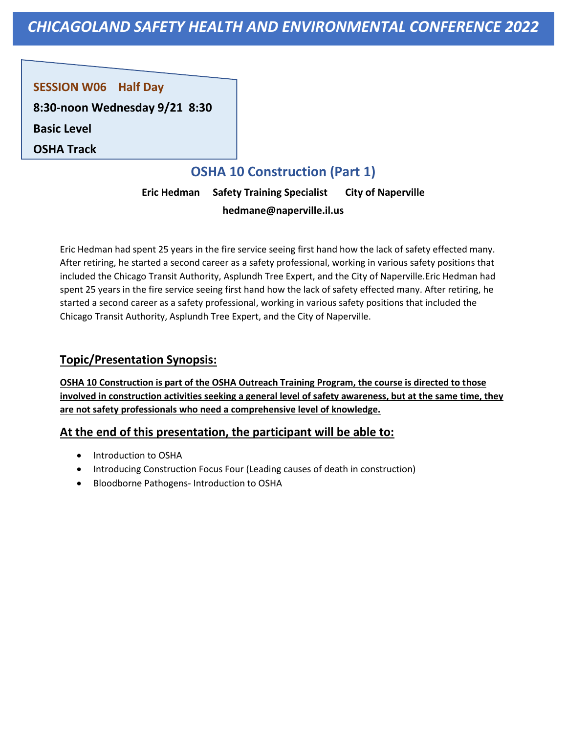#### **SESSION W06 Half Day**

**8:30-noon Wednesday 9/21 8:30**

**Basic Level** 

**OSHA Track**

# **OSHA 10 Construction (Part 1)**

**Eric Hedman Safety Training Specialist City of Naperville hedmane@naperville.il.us** 

Eric Hedman had spent 25 years in the fire service seeing first hand how the lack of safety effected many. After retiring, he started a second career as a safety professional, working in various safety positions that included the Chicago Transit Authority, Asplundh Tree Expert, and the City of Naperville.Eric Hedman had spent 25 years in the fire service seeing first hand how the lack of safety effected many. After retiring, he started a second career as a safety professional, working in various safety positions that included the Chicago Transit Authority, Asplundh Tree Expert, and the City of Naperville.

#### **Topic/Presentation Synopsis:**

**OSHA 10 Construction is part of the OSHA Outreach Training Program, the course is directed to those involved in construction activities seeking a general level of safety awareness, but at the same time, they are not safety professionals who need a comprehensive level of knowledge.**

- Introduction to OSHA
- Introducing Construction Focus Four (Leading causes of death in construction)
- Bloodborne Pathogens- Introduction to OSHA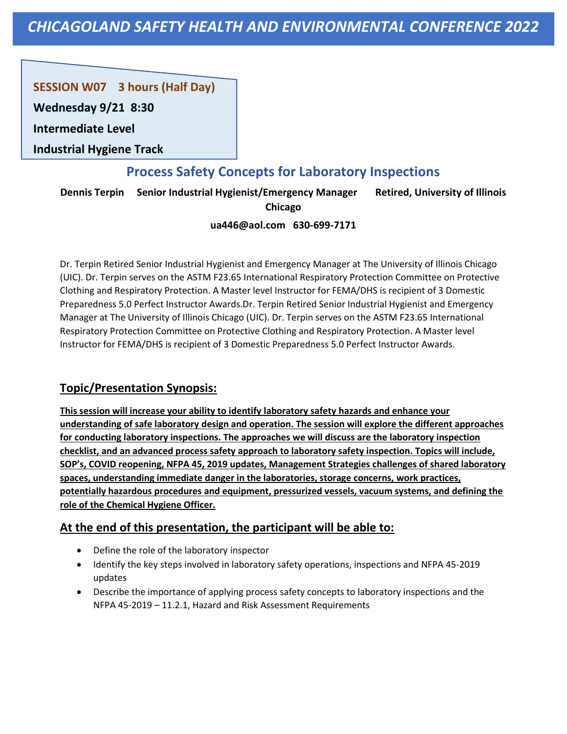## **SESSION W07 3 hours (Half Day)**

**Wednesday 9/21 8:30**

**Intermediate Level** 

**Industrial Hygiene Track**

## **Process Safety Concepts for Laboratory Inspections**

**Dennis Terpin Senior Industrial Hygienist/Emergency Manager Retired, University of Illinois** 

**Chicago**

#### **ua446@aol.com 630-699-7171**

Dr. Terpin Retired Senior Industrial Hygienist and Emergency Manager at The University of Illinois Chicago (UIC). Dr. Terpin serves on the ASTM F23.65 International Respiratory Protection Committee on Protective Clothing and Respiratory Protection. A Master level Instructor for FEMA/DHS is recipient of 3 Domestic Preparedness 5.0 Perfect Instructor Awards.Dr. Terpin Retired Senior Industrial Hygienist and Emergency Manager at The University of Illinois Chicago (UIC). Dr. Terpin serves on the ASTM F23.65 International Respiratory Protection Committee on Protective Clothing and Respiratory Protection. A Master level Instructor for FEMA/DHS is recipient of 3 Domestic Preparedness 5.0 Perfect Instructor Awards.

## **Topic/Presentation Synopsis:**

**This session will increase your ability to identify laboratory safety hazards and enhance your understanding of safe laboratory design and operation. The session will explore the different approaches for conducting laboratory inspections. The approaches we will discuss are the laboratory inspection checklist, and an advanced process safety approach to laboratory safety inspection. Topics will include, SOP's, COVID reopening, NFPA 45, 2019 updates, Management Strategies challenges of shared laboratory spaces, understanding immediate danger in the laboratories, storage concerns, work practices, potentially hazardous procedures and equipment, pressurized vessels, vacuum systems, and defining the role of the Chemical Hygiene Officer.**

- Define the role of the laboratory inspector
- Identify the key steps involved in laboratory safety operations, inspections and NFPA 45-2019 updates
- Describe the importance of applying process safety concepts to laboratory inspections and the NFPA 45-2019 – 11.2.1, Hazard and Risk Assessment Requirements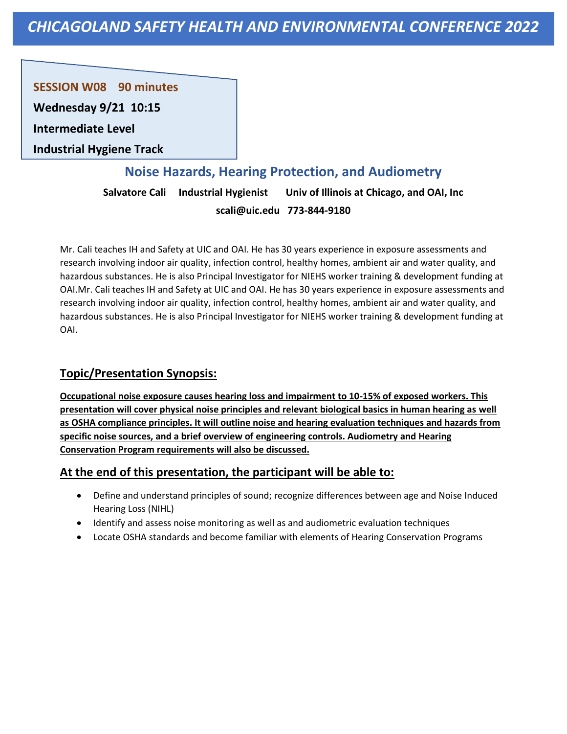**SESSION W08 90 minutes** 

**Wednesday 9/21 10:15**

**Intermediate Level** 

**Industrial Hygiene Track**

## **Noise Hazards, Hearing Protection, and Audiometry**

**Salvatore Cali Industrial Hygienist Univ of Illinois at Chicago, and OAI, Inc scali@uic.edu 773-844-9180**

Mr. Cali teaches IH and Safety at UIC and OAI. He has 30 years experience in exposure assessments and research involving indoor air quality, infection control, healthy homes, ambient air and water quality, and hazardous substances. He is also Principal Investigator for NIEHS worker training & development funding at OAI.Mr. Cali teaches IH and Safety at UIC and OAI. He has 30 years experience in exposure assessments and research involving indoor air quality, infection control, healthy homes, ambient air and water quality, and hazardous substances. He is also Principal Investigator for NIEHS worker training & development funding at OAI.

## **Topic/Presentation Synopsis:**

**Occupational noise exposure causes hearing loss and impairment to 10-15% of exposed workers. This presentation will cover physical noise principles and relevant biological basics in human hearing as well as OSHA compliance principles. It will outline noise and hearing evaluation techniques and hazards from specific noise sources, and a brief overview of engineering controls. Audiometry and Hearing Conservation Program requirements will also be discussed.**

- Define and understand principles of sound; recognize differences between age and Noise Induced Hearing Loss (NIHL)
- Identify and assess noise monitoring as well as and audiometric evaluation techniques
- Locate OSHA standards and become familiar with elements of Hearing Conservation Programs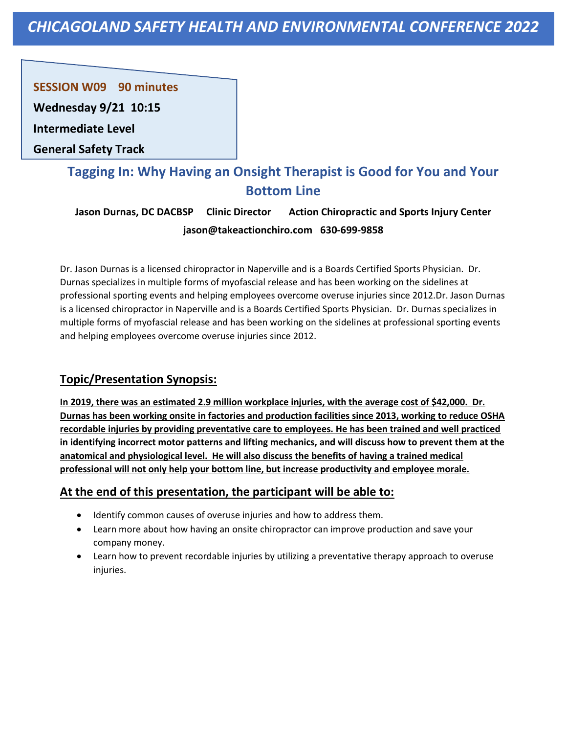**SESSION W09 90 minutes** 

**Wednesday 9/21 10:15**

**Intermediate Level** 

**General Safety Track**

# **Tagging In: Why Having an Onsight Therapist is Good for You and Your Bottom Line**

**Jason Durnas, DC DACBSP Clinic Director Action Chiropractic and Sports Injury Center jason@takeactionchiro.com 630-699-9858**

Dr. Jason Durnas is a licensed chiropractor in Naperville and is a Boards Certified Sports Physician. Dr. Durnas specializes in multiple forms of myofascial release and has been working on the sidelines at professional sporting events and helping employees overcome overuse injuries since 2012.Dr. Jason Durnas is a licensed chiropractor in Naperville and is a Boards Certified Sports Physician. Dr. Durnas specializes in multiple forms of myofascial release and has been working on the sidelines at professional sporting events and helping employees overcome overuse injuries since 2012.

## **Topic/Presentation Synopsis:**

**In 2019, there was an estimated 2.9 million workplace injuries, with the average cost of \$42,000. Dr. Durnas has been working onsite in factories and production facilities since 2013, working to reduce OSHA recordable injuries by providing preventative care to employees. He has been trained and well practiced in identifying incorrect motor patterns and lifting mechanics, and will discuss how to prevent them at the anatomical and physiological level. He will also discuss the benefits of having a trained medical professional will not only help your bottom line, but increase productivity and employee morale.**

- Identify common causes of overuse injuries and how to address them.
- Learn more about how having an onsite chiropractor can improve production and save your company money.
- Learn how to prevent recordable injuries by utilizing a preventative therapy approach to overuse injuries.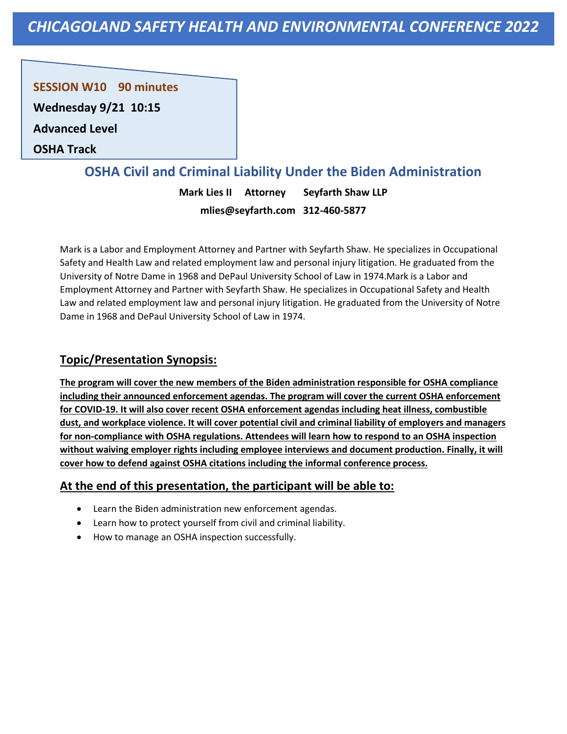**SESSION W10 90 minutes** 

**Wednesday 9/21 10:15**

**Advanced Level** 

**OSHA Track**

## **OSHA Civil and Criminal Liability Under the Biden Administration**

**Mark Lies II Attorney Seyfarth Shaw LLP mlies@seyfarth.com 312-460-5877**

Mark is a Labor and Employment Attorney and Partner with Seyfarth Shaw. He specializes in Occupational Safety and Health Law and related employment law and personal injury litigation. He graduated from the University of Notre Dame in 1968 and DePaul University School of Law in 1974.Mark is a Labor and Employment Attorney and Partner with Seyfarth Shaw. He specializes in Occupational Safety and Health Law and related employment law and personal injury litigation. He graduated from the University of Notre Dame in 1968 and DePaul University School of Law in 1974.

#### **Topic/Presentation Synopsis:**

**The program will cover the new members of the Biden administration responsible for OSHA compliance including their announced enforcement agendas. The program will cover the current OSHA enforcement for COVID-19. It will also cover recent OSHA enforcement agendas including heat illness, combustible dust, and workplace violence. It will cover potential civil and criminal liability of employers and managers for non-compliance with OSHA regulations. Attendees will learn how to respond to an OSHA inspection without waiving employer rights including employee interviews and document production. Finally, it will cover how to defend against OSHA citations including the informal conference process.**

- Learn the Biden administration new enforcement agendas.
- Learn how to protect yourself from civil and criminal liability.
- How to manage an OSHA inspection successfully.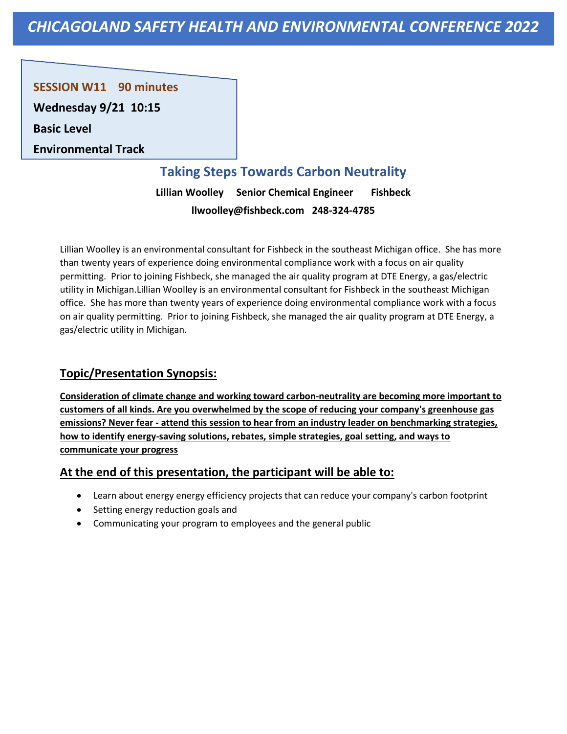**SESSION W11 90 minutes** 

**Wednesday 9/21 10:15**

**Basic Level** 

**Environmental Track**

## **Taking Steps Towards Carbon Neutrality**

**Lillian Woolley Senior Chemical Engineer Fishbeck llwoolley@fishbeck.com 248-324-4785**

Lillian Woolley is an environmental consultant for Fishbeck in the southeast Michigan office. She has more than twenty years of experience doing environmental compliance work with a focus on air quality permitting. Prior to joining Fishbeck, she managed the air quality program at DTE Energy, a gas/electric utility in Michigan.Lillian Woolley is an environmental consultant for Fishbeck in the southeast Michigan office. She has more than twenty years of experience doing environmental compliance work with a focus on air quality permitting. Prior to joining Fishbeck, she managed the air quality program at DTE Energy, a gas/electric utility in Michigan.

## **Topic/Presentation Synopsis:**

**Consideration of climate change and working toward carbon-neutrality are becoming more important to customers of all kinds. Are you overwhelmed by the scope of reducing your company's greenhouse gas emissions? Never fear - attend this session to hear from an industry leader on benchmarking strategies, how to identify energy-saving solutions, rebates, simple strategies, goal setting, and ways to communicate your progress**

- Learn about energy energy efficiency projects that can reduce your company's carbon footprint
- Setting energy reduction goals and
- Communicating your program to employees and the general public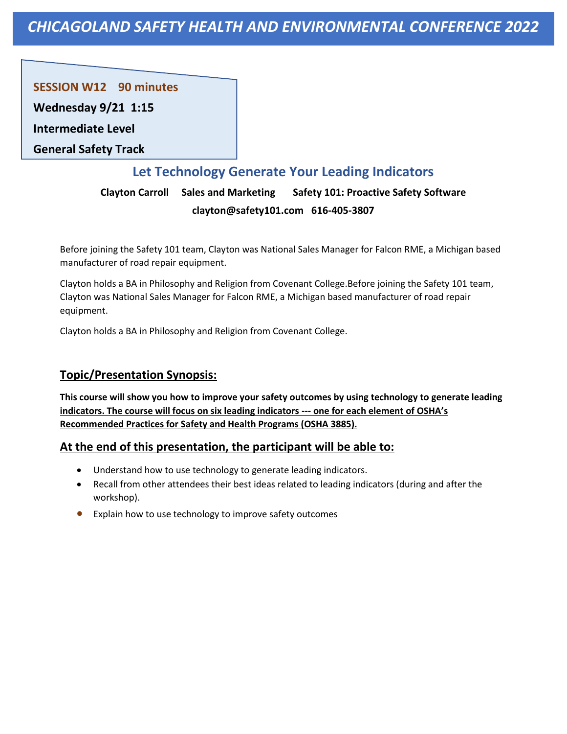**SESSION W12 90 minutes** 

**Wednesday 9/21 1:15**

**Intermediate Level** 

**General Safety Track**

## **Let Technology Generate Your Leading Indicators**

**Clayton Carroll Sales and Marketing Safety 101: Proactive Safety Software clayton@safety101.com 616-405-3807**

Before joining the Safety 101 team, Clayton was National Sales Manager for Falcon RME, a Michigan based manufacturer of road repair equipment.

Clayton holds a BA in Philosophy and Religion from Covenant College.Before joining the Safety 101 team, Clayton was National Sales Manager for Falcon RME, a Michigan based manufacturer of road repair equipment.

Clayton holds a BA in Philosophy and Religion from Covenant College.

## **Topic/Presentation Synopsis:**

**This course will show you how to improve your safety outcomes by using technology to generate leading indicators. The course will focus on six leading indicators --- one for each element of OSHA's Recommended Practices for Safety and Health Programs (OSHA 3885).**

- Understand how to use technology to generate leading indicators.
- Recall from other attendees their best ideas related to leading indicators (during and after the workshop).
- Explain how to use technology to improve safety outcomes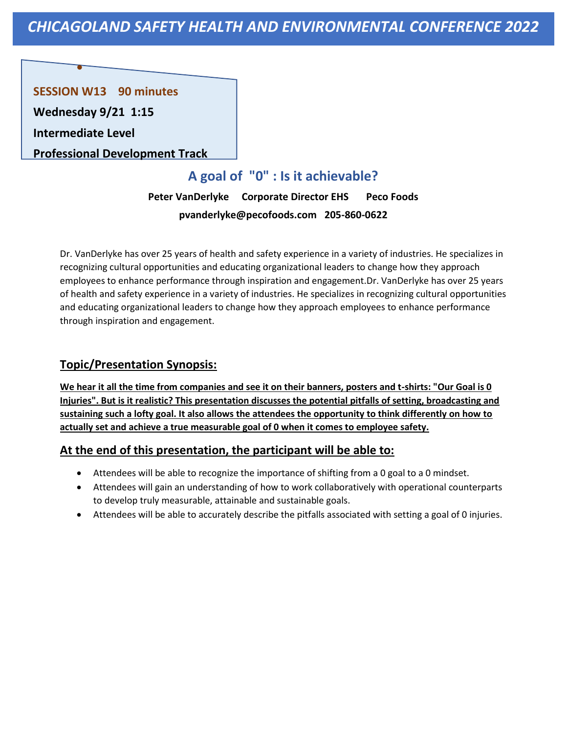**SESSION W13 90 minutes Wednesday 9/21 1:15**

**Intermediate Level** 

•

**Professional Development Track**

# **A goal of "0" : Is it achievable?**

**Peter VanDerlyke Corporate Director EHS Peco Foods pvanderlyke@pecofoods.com 205-860-0622**

Dr. VanDerlyke has over 25 years of health and safety experience in a variety of industries. He specializes in recognizing cultural opportunities and educating organizational leaders to change how they approach employees to enhance performance through inspiration and engagement.Dr. VanDerlyke has over 25 years of health and safety experience in a variety of industries. He specializes in recognizing cultural opportunities and educating organizational leaders to change how they approach employees to enhance performance through inspiration and engagement.

## **Topic/Presentation Synopsis:**

**We hear it all the time from companies and see it on their banners, posters and t-shirts: "Our Goal is 0 Injuries". But is it realistic? This presentation discusses the potential pitfalls of setting, broadcasting and sustaining such a lofty goal. It also allows the attendees the opportunity to think differently on how to actually set and achieve a true measurable goal of 0 when it comes to employee safety.**

- Attendees will be able to recognize the importance of shifting from a 0 goal to a 0 mindset.
- Attendees will gain an understanding of how to work collaboratively with operational counterparts to develop truly measurable, attainable and sustainable goals.
- Attendees will be able to accurately describe the pitfalls associated with setting a goal of 0 injuries.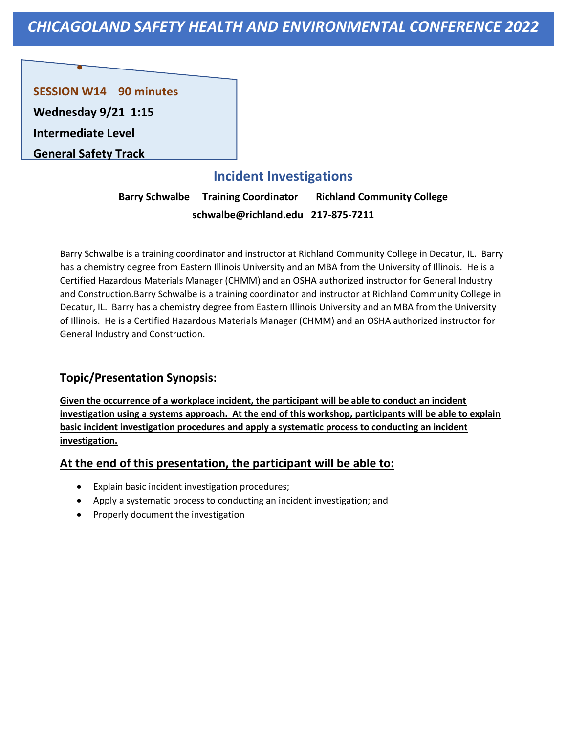## **SESSION W14 90 minutes**

**Wednesday 9/21 1:15 Intermediate Level** 

•

**General Safety Track**

## **Incident Investigations**

**Barry Schwalbe Training Coordinator Richland Community College schwalbe@richland.edu 217-875-7211**

Barry Schwalbe is a training coordinator and instructor at Richland Community College in Decatur, IL. Barry has a chemistry degree from Eastern Illinois University and an MBA from the University of Illinois. He is a Certified Hazardous Materials Manager (CHMM) and an OSHA authorized instructor for General Industry and Construction.Barry Schwalbe is a training coordinator and instructor at Richland Community College in Decatur, IL. Barry has a chemistry degree from Eastern Illinois University and an MBA from the University of Illinois. He is a Certified Hazardous Materials Manager (CHMM) and an OSHA authorized instructor for General Industry and Construction.

## **Topic/Presentation Synopsis:**

**Given the occurrence of a workplace incident, the participant will be able to conduct an incident investigation using a systems approach. At the end of this workshop, participants will be able to explain basic incident investigation procedures and apply a systematic process to conducting an incident investigation.**

- Explain basic incident investigation procedures;
- Apply a systematic process to conducting an incident investigation; and
- Properly document the investigation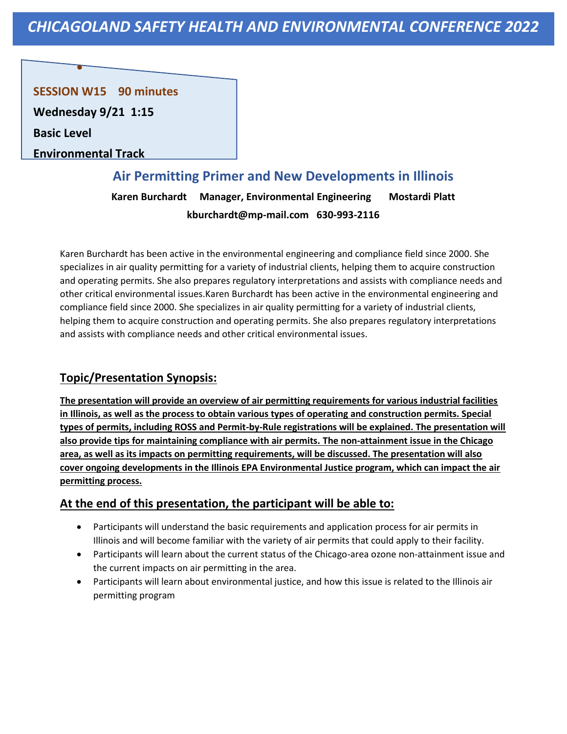## **SESSION W15 90 minutes**

**Wednesday 9/21 1:15**

•

**Basic Level** 

**Environmental Track**

# **Air Permitting Primer and New Developments in Illinois Karen Burchardt Manager, Environmental Engineering Mostardi Platt kburchardt@mp-mail.com 630-993-2116**

Karen Burchardt has been active in the environmental engineering and compliance field since 2000. She specializes in air quality permitting for a variety of industrial clients, helping them to acquire construction and operating permits. She also prepares regulatory interpretations and assists with compliance needs and other critical environmental issues.Karen Burchardt has been active in the environmental engineering and compliance field since 2000. She specializes in air quality permitting for a variety of industrial clients, helping them to acquire construction and operating permits. She also prepares regulatory interpretations and assists with compliance needs and other critical environmental issues.

## **Topic/Presentation Synopsis:**

**The presentation will provide an overview of air permitting requirements for various industrial facilities in Illinois, as well as the process to obtain various types of operating and construction permits. Special types of permits, including ROSS and Permit-by-Rule registrations will be explained. The presentation will also provide tips for maintaining compliance with air permits. The non-attainment issue in the Chicago area, as well as its impacts on permitting requirements, will be discussed. The presentation will also cover ongoing developments in the Illinois EPA Environmental Justice program, which can impact the air permitting process.**

- Participants will understand the basic requirements and application process for air permits in Illinois and will become familiar with the variety of air permits that could apply to their facility.
- Participants will learn about the current status of the Chicago-area ozone non-attainment issue and the current impacts on air permitting in the area.
- Participants will learn about environmental justice, and how this issue is related to the Illinois air permitting program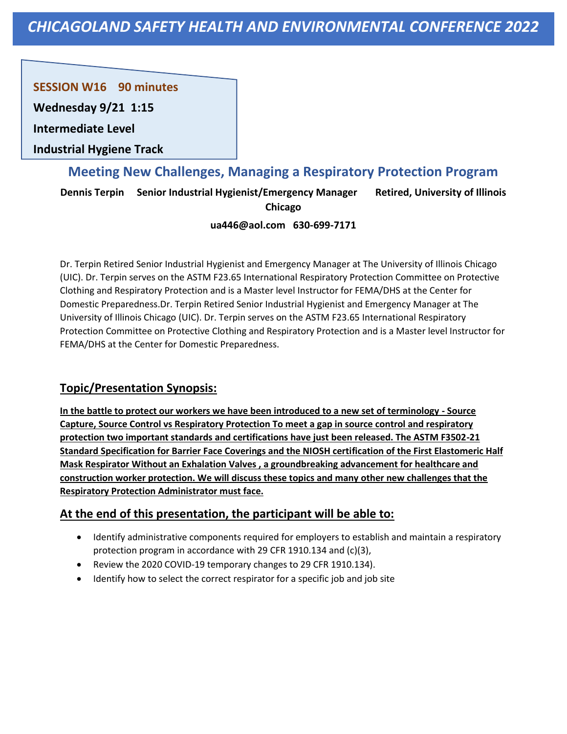**SESSION W16 90 minutes** 

**Wednesday 9/21 1:15**

**Intermediate Level** 

**Industrial Hygiene Track**

## **Meeting New Challenges, Managing a Respiratory Protection Program**

**Dennis Terpin Senior Industrial Hygienist/Emergency Manager Retired, University of Illinois** 

```
Chicago
```
#### **ua446@aol.com 630-699-7171**

Dr. Terpin Retired Senior Industrial Hygienist and Emergency Manager at The University of Illinois Chicago (UIC). Dr. Terpin serves on the ASTM F23.65 International Respiratory Protection Committee on Protective Clothing and Respiratory Protection and is a Master level Instructor for FEMA/DHS at the Center for Domestic Preparedness.Dr. Terpin Retired Senior Industrial Hygienist and Emergency Manager at The University of Illinois Chicago (UIC). Dr. Terpin serves on the ASTM F23.65 International Respiratory Protection Committee on Protective Clothing and Respiratory Protection and is a Master level Instructor for FEMA/DHS at the Center for Domestic Preparedness.

## **Topic/Presentation Synopsis:**

**In the battle to protect our workers we have been introduced to a new set of terminology - Source Capture, Source Control vs Respiratory Protection To meet a gap in source control and respiratory protection two important standards and certifications have just been released. The ASTM F3502-21 Standard Specification for Barrier Face Coverings and the NIOSH certification of the First Elastomeric Half Mask Respirator Without an Exhalation Valves , a groundbreaking advancement for healthcare and construction worker protection. We will discuss these topics and many other new challenges that the Respiratory Protection Administrator must face.**

- Identify administrative components required for employers to establish and maintain a respiratory protection program in accordance with 29 CFR 1910.134 and (c)(3),
- Review the 2020 COVID-19 temporary changes to 29 CFR 1910.134).
- Identify how to select the correct respirator for a specific job and job site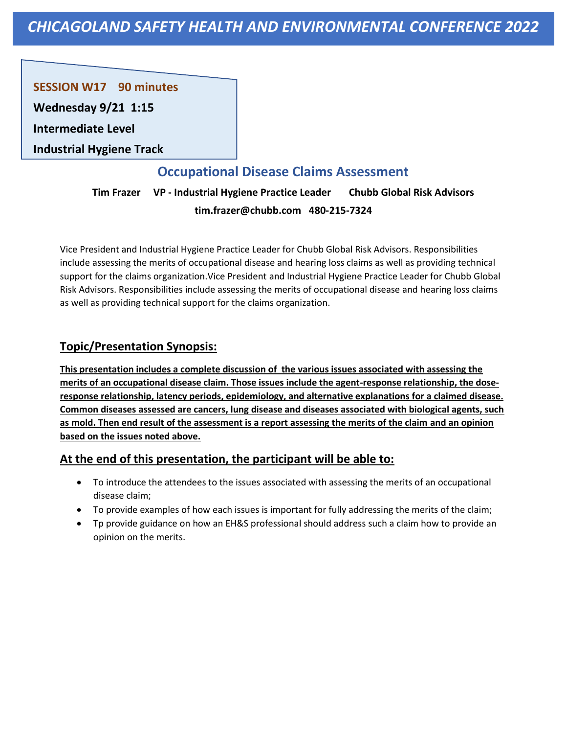**SESSION W17 90 minutes** 

**Wednesday 9/21 1:15**

**Intermediate Level** 

**Industrial Hygiene Track**

## **Occupational Disease Claims Assessment**

**Tim Frazer VP - Industrial Hygiene Practice Leader Chubb Global Risk Advisors tim.frazer@chubb.com 480-215-7324**

Vice President and Industrial Hygiene Practice Leader for Chubb Global Risk Advisors. Responsibilities include assessing the merits of occupational disease and hearing loss claims as well as providing technical support for the claims organization.Vice President and Industrial Hygiene Practice Leader for Chubb Global Risk Advisors. Responsibilities include assessing the merits of occupational disease and hearing loss claims as well as providing technical support for the claims organization.

## **Topic/Presentation Synopsis:**

**This presentation includes a complete discussion of the various issues associated with assessing the merits of an occupational disease claim. Those issues include the agent-response relationship, the doseresponse relationship, latency periods, epidemiology, and alternative explanations for a claimed disease. Common diseases assessed are cancers, lung disease and diseases associated with biological agents, such as mold. Then end result of the assessment is a report assessing the merits of the claim and an opinion based on the issues noted above.**

- To introduce the attendees to the issues associated with assessing the merits of an occupational disease claim;
- To provide examples of how each issues is important for fully addressing the merits of the claim;
- Tp provide guidance on how an EH&S professional should address such a claim how to provide an opinion on the merits.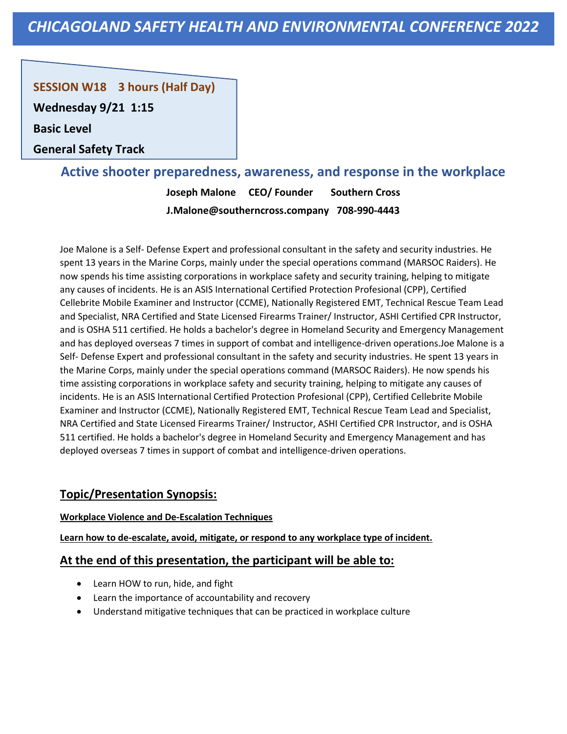## **SESSION W18 3 hours (Half Day)**

**Wednesday 9/21 1:15**

**Basic Level** 

**General Safety Track**

## **Active shooter preparedness, awareness, and response in the workplace**

**Joseph Malone CEO/ Founder Southern Cross J.Malone@southerncross.company 708-990-4443**

Joe Malone is a Self- Defense Expert and professional consultant in the safety and security industries. He spent 13 years in the Marine Corps, mainly under the special operations command (MARSOC Raiders). He now spends his time assisting corporations in workplace safety and security training, helping to mitigate any causes of incidents. He is an ASIS International Certified Protection Profesional (CPP), Certified Cellebrite Mobile Examiner and Instructor (CCME), Nationally Registered EMT, Technical Rescue Team Lead and Specialist, NRA Certified and State Licensed Firearms Trainer/ Instructor, ASHI Certified CPR Instructor, and is OSHA 511 certified. He holds a bachelor's degree in Homeland Security and Emergency Management and has deployed overseas 7 times in support of combat and intelligence-driven operations.Joe Malone is a Self- Defense Expert and professional consultant in the safety and security industries. He spent 13 years in the Marine Corps, mainly under the special operations command (MARSOC Raiders). He now spends his time assisting corporations in workplace safety and security training, helping to mitigate any causes of incidents. He is an ASIS International Certified Protection Profesional (CPP), Certified Cellebrite Mobile Examiner and Instructor (CCME), Nationally Registered EMT, Technical Rescue Team Lead and Specialist, NRA Certified and State Licensed Firearms Trainer/ Instructor, ASHI Certified CPR Instructor, and is OSHA 511 certified. He holds a bachelor's degree in Homeland Security and Emergency Management and has deployed overseas 7 times in support of combat and intelligence-driven operations.

## **Topic/Presentation Synopsis:**

#### **Workplace Violence and De-Escalation Techniques**

**Learn how to de-escalate, avoid, mitigate, or respond to any workplace type of incident.**

- Learn HOW to run, hide, and fight
- Learn the importance of accountability and recovery
- Understand mitigative techniques that can be practiced in workplace culture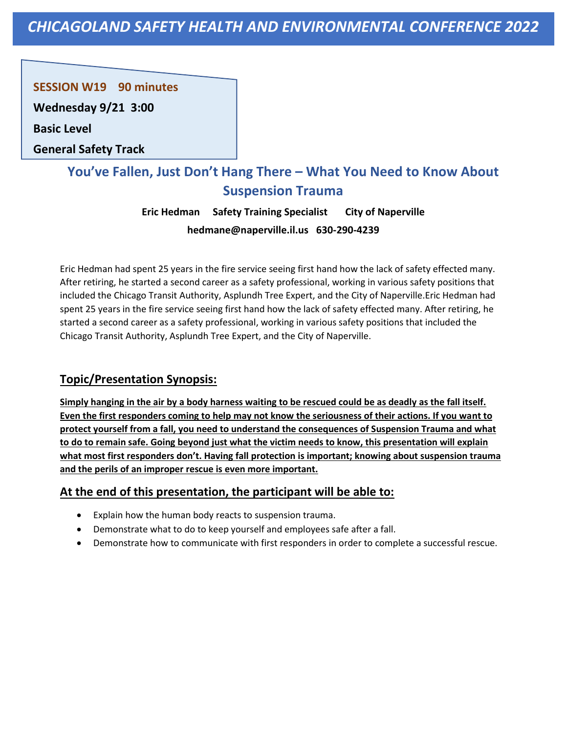**SESSION W19 90 minutes** 

**Wednesday 9/21 3:00**

**Basic Level** 

**General Safety Track**

# **You've Fallen, Just Don't Hang There – What You Need to Know About Suspension Trauma**

**Eric Hedman Safety Training Specialist City of Naperville hedmane@naperville.il.us 630-290-4239**

Eric Hedman had spent 25 years in the fire service seeing first hand how the lack of safety effected many. After retiring, he started a second career as a safety professional, working in various safety positions that included the Chicago Transit Authority, Asplundh Tree Expert, and the City of Naperville.Eric Hedman had spent 25 years in the fire service seeing first hand how the lack of safety effected many. After retiring, he started a second career as a safety professional, working in various safety positions that included the Chicago Transit Authority, Asplundh Tree Expert, and the City of Naperville.

## **Topic/Presentation Synopsis:**

**Simply hanging in the air by a body harness waiting to be rescued could be as deadly as the fall itself. Even the first responders coming to help may not know the seriousness of their actions. If you want to protect yourself from a fall, you need to understand the consequences of Suspension Trauma and what to do to remain safe. Going beyond just what the victim needs to know, this presentation will explain what most first responders don't. Having fall protection is important; knowing about suspension trauma and the perils of an improper rescue is even more important.**

- Explain how the human body reacts to suspension trauma.
- Demonstrate what to do to keep yourself and employees safe after a fall.
- Demonstrate how to communicate with first responders in order to complete a successful rescue.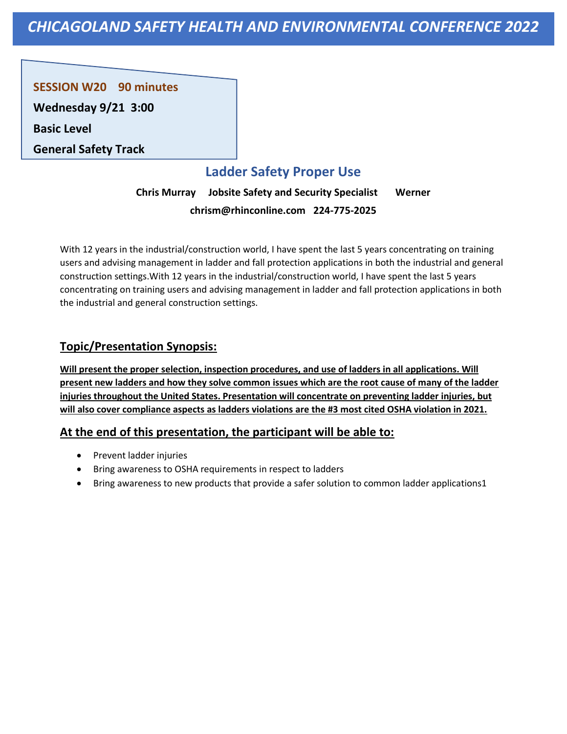**SESSION W20 90 minutes** 

**Wednesday 9/21 3:00**

**Basic Level** 

**General Safety Track**

# **Ladder Safety Proper Use**

**Chris Murray Jobsite Safety and Security Specialist Werner chrism@rhinconline.com 224-775-2025**

With 12 years in the industrial/construction world, I have spent the last 5 years concentrating on training users and advising management in ladder and fall protection applications in both the industrial and general construction settings.With 12 years in the industrial/construction world, I have spent the last 5 years concentrating on training users and advising management in ladder and fall protection applications in both the industrial and general construction settings.

## **Topic/Presentation Synopsis:**

**Will present the proper selection, inspection procedures, and use of ladders in all applications. Will present new ladders and how they solve common issues which are the root cause of many of the ladder injuries throughout the United States. Presentation will concentrate on preventing ladder injuries, but will also cover compliance aspects as ladders violations are the #3 most cited OSHA violation in 2021.**

- Prevent ladder injuries
- Bring awareness to OSHA requirements in respect to ladders
- Bring awareness to new products that provide a safer solution to common ladder applications1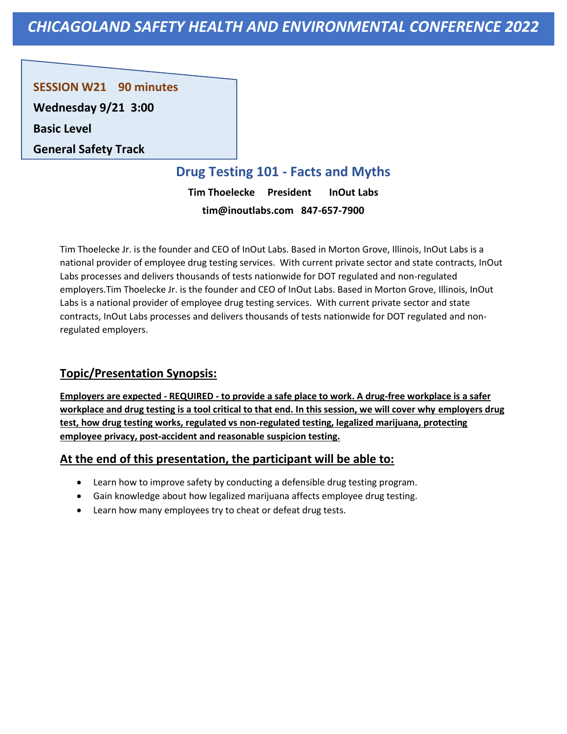**SESSION W21 90 minutes** 

**Wednesday 9/21 3:00**

**Basic Level** 

**General Safety Track**

## **Drug Testing 101 - Facts and Myths**

**Tim Thoelecke President InOut Labs tim@inoutlabs.com 847-657-7900**

Tim Thoelecke Jr. is the founder and CEO of InOut Labs. Based in Morton Grove, Illinois, InOut Labs is a national provider of employee drug testing services. With current private sector and state contracts, InOut Labs processes and delivers thousands of tests nationwide for DOT regulated and non-regulated employers.Tim Thoelecke Jr. is the founder and CEO of InOut Labs. Based in Morton Grove, Illinois, InOut Labs is a national provider of employee drug testing services. With current private sector and state contracts, InOut Labs processes and delivers thousands of tests nationwide for DOT regulated and nonregulated employers.

## **Topic/Presentation Synopsis:**

**Employers are expected - REQUIRED - to provide a safe place to work. A drug-free workplace is a safer workplace and drug testing is a tool critical to that end. In this session, we will cover why employers drug test, how drug testing works, regulated vs non-regulated testing, legalized marijuana, protecting employee privacy, post-accident and reasonable suspicion testing.**

- Learn how to improve safety by conducting a defensible drug testing program.
- Gain knowledge about how legalized marijuana affects employee drug testing.
- Learn how many employees try to cheat or defeat drug tests.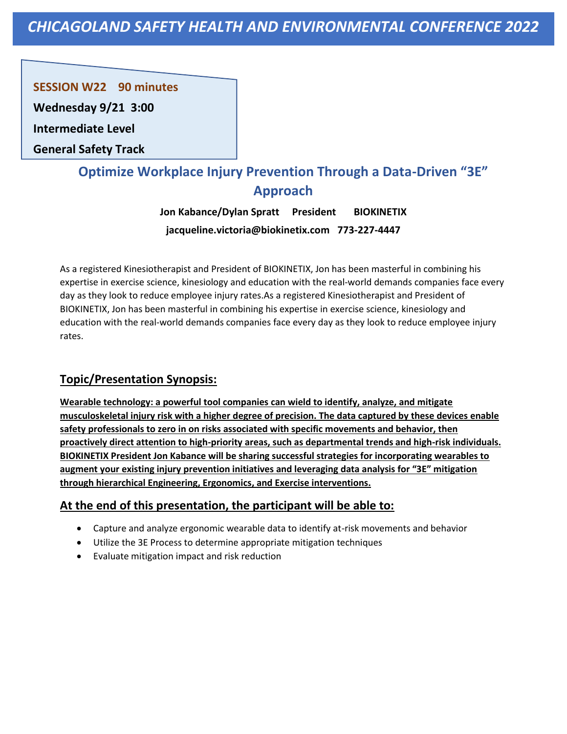**SESSION W22 90 minutes** 

**Wednesday 9/21 3:00**

**Intermediate Level** 

**General Safety Track**

# **Optimize Workplace Injury Prevention Through a Data-Driven "3E" Approach**

**Jon Kabance/Dylan Spratt President BIOKINETIX jacqueline.victoria@biokinetix.com 773-227-4447**

As a registered Kinesiotherapist and President of BIOKINETIX, Jon has been masterful in combining his expertise in exercise science, kinesiology and education with the real-world demands companies face every day as they look to reduce employee injury rates.As a registered Kinesiotherapist and President of BIOKINETIX, Jon has been masterful in combining his expertise in exercise science, kinesiology and education with the real-world demands companies face every day as they look to reduce employee injury rates.

## **Topic/Presentation Synopsis:**

**Wearable technology: a powerful tool companies can wield to identify, analyze, and mitigate musculoskeletal injury risk with a higher degree of precision. The data captured by these devices enable safety professionals to zero in on risks associated with specific movements and behavior, then proactively direct attention to high-priority areas, such as departmental trends and high-risk individuals. BIOKINETIX President Jon Kabance will be sharing successful strategies for incorporating wearables to augment your existing injury prevention initiatives and leveraging data analysis for "3E" mitigation through hierarchical Engineering, Ergonomics, and Exercise interventions.**

- Capture and analyze ergonomic wearable data to identify at-risk movements and behavior
- Utilize the 3E Process to determine appropriate mitigation techniques
- Evaluate mitigation impact and risk reduction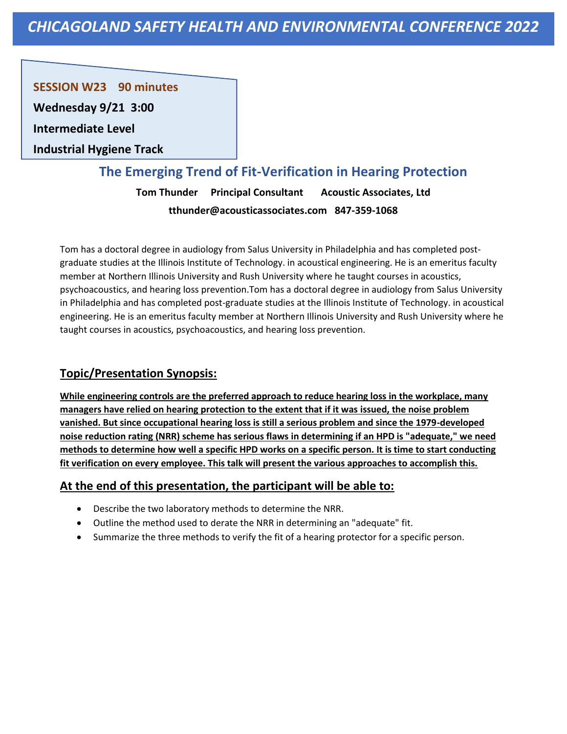**SESSION W23 90 minutes** 

**Wednesday 9/21 3:00**

**Intermediate Level** 

**Industrial Hygiene Track**

## **The Emerging Trend of Fit-Verification in Hearing Protection**

**Tom Thunder Principal Consultant Acoustic Associates, Ltd tthunder@acousticassociates.com 847-359-1068**

Tom has a doctoral degree in audiology from Salus University in Philadelphia and has completed postgraduate studies at the Illinois Institute of Technology. in acoustical engineering. He is an emeritus faculty member at Northern Illinois University and Rush University where he taught courses in acoustics, psychoacoustics, and hearing loss prevention.Tom has a doctoral degree in audiology from Salus University in Philadelphia and has completed post-graduate studies at the Illinois Institute of Technology. in acoustical engineering. He is an emeritus faculty member at Northern Illinois University and Rush University where he taught courses in acoustics, psychoacoustics, and hearing loss prevention.

## **Topic/Presentation Synopsis:**

**While engineering controls are the preferred approach to reduce hearing loss in the workplace, many managers have relied on hearing protection to the extent that if it was issued, the noise problem vanished. But since occupational hearing loss is still a serious problem and since the 1979-developed noise reduction rating (NRR) scheme has serious flaws in determining if an HPD is "adequate," we need methods to determine how well a specific HPD works on a specific person. It is time to start conducting fit verification on every employee. This talk will present the various approaches to accomplish this.**

- Describe the two laboratory methods to determine the NRR.
- Outline the method used to derate the NRR in determining an "adequate" fit.
- Summarize the three methods to verify the fit of a hearing protector for a specific person.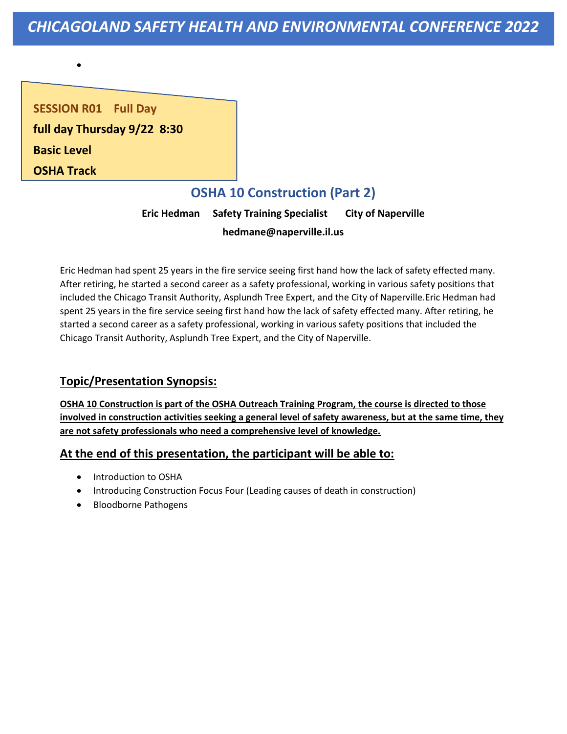**SESSION R01 Full Day full day Thursday 9/22 8:30 Basic Level OSHA Track**

•

# **OSHA 10 Construction (Part 2)**

**Eric Hedman Safety Training Specialist City of Naperville hedmane@naperville.il.us** 

Eric Hedman had spent 25 years in the fire service seeing first hand how the lack of safety effected many. After retiring, he started a second career as a safety professional, working in various safety positions that included the Chicago Transit Authority, Asplundh Tree Expert, and the City of Naperville.Eric Hedman had spent 25 years in the fire service seeing first hand how the lack of safety effected many. After retiring, he started a second career as a safety professional, working in various safety positions that included the Chicago Transit Authority, Asplundh Tree Expert, and the City of Naperville.

## **Topic/Presentation Synopsis:**

**OSHA 10 Construction is part of the OSHA Outreach Training Program, the course is directed to those involved in construction activities seeking a general level of safety awareness, but at the same time, they are not safety professionals who need a comprehensive level of knowledge.**

- Introduction to OSHA
- Introducing Construction Focus Four (Leading causes of death in construction)
- Bloodborne Pathogens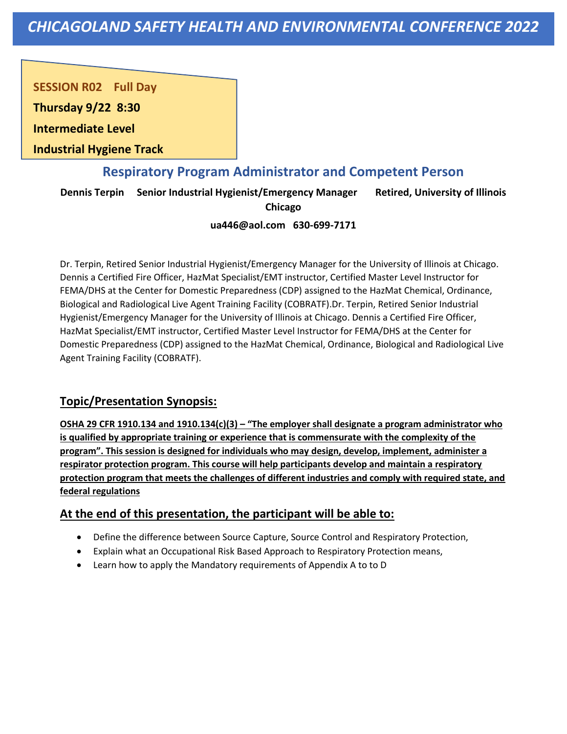**SESSION R02 Full Day** 

**Thursday 9/22 8:30**

**Intermediate Level** 

**Industrial Hygiene Track**

## **Respiratory Program Administrator and Competent Person**

**Dennis Terpin Senior Industrial Hygienist/Emergency Manager Retired, University of Illinois** 

**Chicago**

#### **ua446@aol.com 630-699-7171**

Dr. Terpin, Retired Senior Industrial Hygienist/Emergency Manager for the University of Illinois at Chicago. Dennis a Certified Fire Officer, HazMat Specialist/EMT instructor, Certified Master Level Instructor for FEMA/DHS at the Center for Domestic Preparedness (CDP) assigned to the HazMat Chemical, Ordinance, Biological and Radiological Live Agent Training Facility (COBRATF).Dr. Terpin, Retired Senior Industrial Hygienist/Emergency Manager for the University of Illinois at Chicago. Dennis a Certified Fire Officer, HazMat Specialist/EMT instructor, Certified Master Level Instructor for FEMA/DHS at the Center for Domestic Preparedness (CDP) assigned to the HazMat Chemical, Ordinance, Biological and Radiological Live Agent Training Facility (COBRATF).

## **Topic/Presentation Synopsis:**

**OSHA 29 CFR 1910.134 and 1910.134(c)(3) – "The employer shall designate a program administrator who is qualified by appropriate training or experience that is commensurate with the complexity of the program". This session is designed for individuals who may design, develop, implement, administer a respirator protection program. This course will help participants develop and maintain a respiratory protection program that meets the challenges of different industries and comply with required state, and federal regulations**

- Define the difference between Source Capture, Source Control and Respiratory Protection,
- Explain what an Occupational Risk Based Approach to Respiratory Protection means,
- Learn how to apply the Mandatory requirements of Appendix A to to D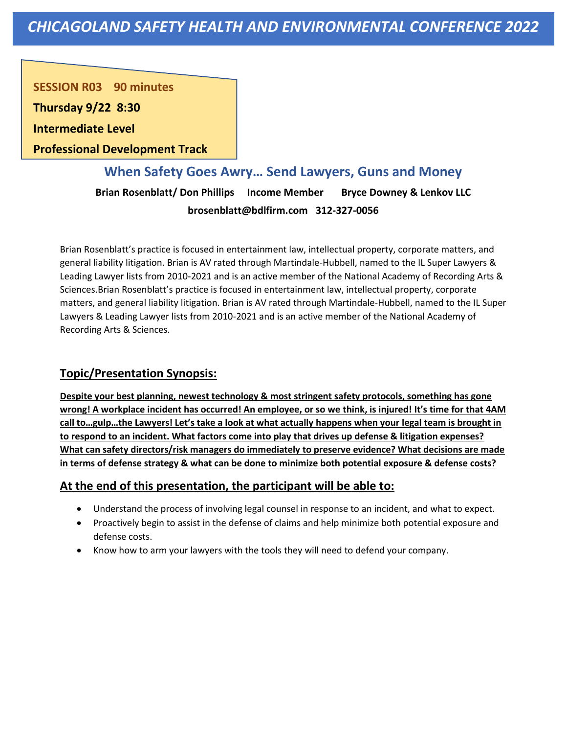**SESSION R03 90 minutes** 

**Thursday 9/22 8:30**

**Intermediate Level** 

**Professional Development Track**

**When Safety Goes Awry… Send Lawyers, Guns and Money Brian Rosenblatt/ Don Phillips Income Member Bryce Downey & Lenkov LLC brosenblatt@bdlfirm.com 312-327-0056**

Brian Rosenblatt's practice is focused in entertainment law, intellectual property, corporate matters, and general liability litigation. Brian is AV rated through Martindale-Hubbell, named to the IL Super Lawyers & Leading Lawyer lists from 2010-2021 and is an active member of the National Academy of Recording Arts & Sciences.Brian Rosenblatt's practice is focused in entertainment law, intellectual property, corporate matters, and general liability litigation. Brian is AV rated through Martindale-Hubbell, named to the IL Super Lawyers & Leading Lawyer lists from 2010-2021 and is an active member of the National Academy of Recording Arts & Sciences.

## **Topic/Presentation Synopsis:**

**Despite your best planning, newest technology & most stringent safety protocols, something has gone wrong! A workplace incident has occurred! An employee, or so we think, is injured! It's time for that 4AM call to…gulp…the Lawyers! Let's take a look at what actually happens when your legal team is brought in to respond to an incident. What factors come into play that drives up defense & litigation expenses? What can safety directors/risk managers do immediately to preserve evidence? What decisions are made in terms of defense strategy & what can be done to minimize both potential exposure & defense costs?**

- Understand the process of involving legal counsel in response to an incident, and what to expect.
- Proactively begin to assist in the defense of claims and help minimize both potential exposure and defense costs.
- Know how to arm your lawyers with the tools they will need to defend your company.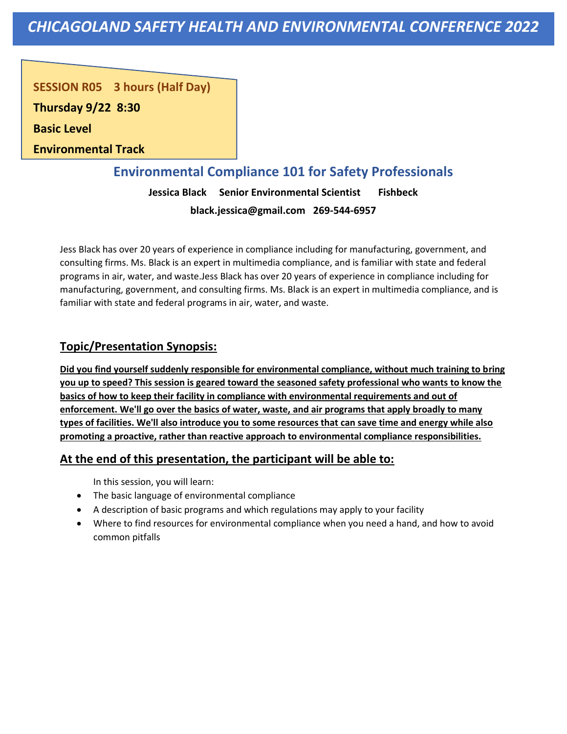**SESSION R05 3 hours (Half Day)** 

**Thursday 9/22 8:30**

**Basic Level** 

**Environmental Track**

## **Environmental Compliance 101 for Safety Professionals**

**Jessica Black Senior Environmental Scientist Fishbeck black.jessica@gmail.com 269-544-6957**

Jess Black has over 20 years of experience in compliance including for manufacturing, government, and consulting firms. Ms. Black is an expert in multimedia compliance, and is familiar with state and federal programs in air, water, and waste.Jess Black has over 20 years of experience in compliance including for manufacturing, government, and consulting firms. Ms. Black is an expert in multimedia compliance, and is familiar with state and federal programs in air, water, and waste.

## **Topic/Presentation Synopsis:**

**Did you find yourself suddenly responsible for environmental compliance, without much training to bring you up to speed? This session is geared toward the seasoned safety professional who wants to know the basics of how to keep their facility in compliance with environmental requirements and out of enforcement. We'll go over the basics of water, waste, and air programs that apply broadly to many types of facilities. We'll also introduce you to some resources that can save time and energy while also promoting a proactive, rather than reactive approach to environmental compliance responsibilities.**

## **At the end of this presentation, the participant will be able to:**

In this session, you will learn:

- The basic language of environmental compliance
- A description of basic programs and which regulations may apply to your facility
- Where to find resources for environmental compliance when you need a hand, and how to avoid common pitfalls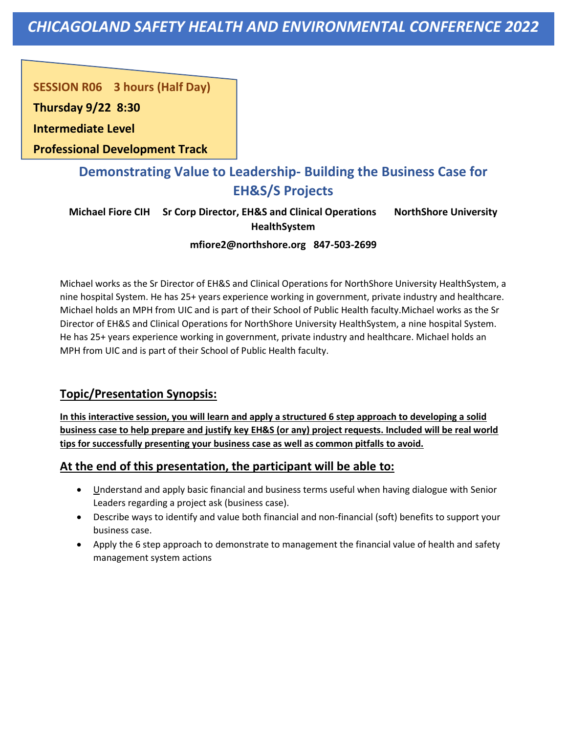#### **SESSION R06 3 hours (Half Day)**

**Thursday 9/22 8:30**

**Intermediate Level** 

**Professional Development Track**

# **Demonstrating Value to Leadership- Building the Business Case for EH&S/S Projects**

**Michael Fiore CIH Sr Corp Director, EH&S and Clinical Operations NorthShore University HealthSystem**

#### **mfiore2@northshore.org 847-503-2699**

Michael works as the Sr Director of EH&S and Clinical Operations for NorthShore University HealthSystem, a nine hospital System. He has 25+ years experience working in government, private industry and healthcare. Michael holds an MPH from UIC and is part of their School of Public Health faculty.Michael works as the Sr Director of EH&S and Clinical Operations for NorthShore University HealthSystem, a nine hospital System. He has 25+ years experience working in government, private industry and healthcare. Michael holds an MPH from UIC and is part of their School of Public Health faculty.

## **Topic/Presentation Synopsis:**

**In this interactive session, you will learn and apply a structured 6 step approach to developing a solid business case to help prepare and justify key EH&S (or any) project requests. Included will be real world tips for successfully presenting your business case as well as common pitfalls to avoid.**

- Understand and apply basic financial and business terms useful when having dialogue with Senior Leaders regarding a project ask (business case).
- Describe ways to identify and value both financial and non-financial (soft) benefits to support your business case.
- Apply the 6 step approach to demonstrate to management the financial value of health and safety management system actions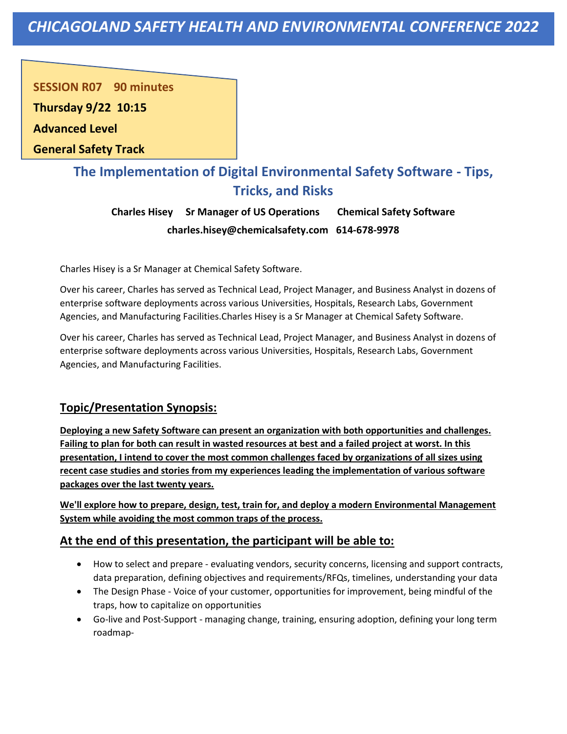**SESSION R07 90 minutes** 

**Thursday 9/22 10:15**

**Advanced Level** 

**General Safety Track**

# **The Implementation of Digital Environmental Safety Software - Tips, Tricks, and Risks**

**Charles Hisey Sr Manager of US Operations Chemical Safety Software charles.hisey@chemicalsafety.com 614-678-9978**

Charles Hisey is a Sr Manager at Chemical Safety Software.

Over his career, Charles has served as Technical Lead, Project Manager, and Business Analyst in dozens of enterprise software deployments across various Universities, Hospitals, Research Labs, Government Agencies, and Manufacturing Facilities.Charles Hisey is a Sr Manager at Chemical Safety Software.

Over his career, Charles has served as Technical Lead, Project Manager, and Business Analyst in dozens of enterprise software deployments across various Universities, Hospitals, Research Labs, Government Agencies, and Manufacturing Facilities.

## **Topic/Presentation Synopsis:**

**Deploying a new Safety Software can present an organization with both opportunities and challenges. Failing to plan for both can result in wasted resources at best and a failed project at worst. In this presentation, I intend to cover the most common challenges faced by organizations of all sizes using recent case studies and stories from my experiences leading the implementation of various software packages over the last twenty years.**

**We'll explore how to prepare, design, test, train for, and deploy a modern Environmental Management System while avoiding the most common traps of the process.**

- How to select and prepare evaluating vendors, security concerns, licensing and support contracts, data preparation, defining objectives and requirements/RFQs, timelines, understanding your data
- The Design Phase Voice of your customer, opportunities for improvement, being mindful of the traps, how to capitalize on opportunities
- Go-live and Post-Support managing change, training, ensuring adoption, defining your long term roadmap-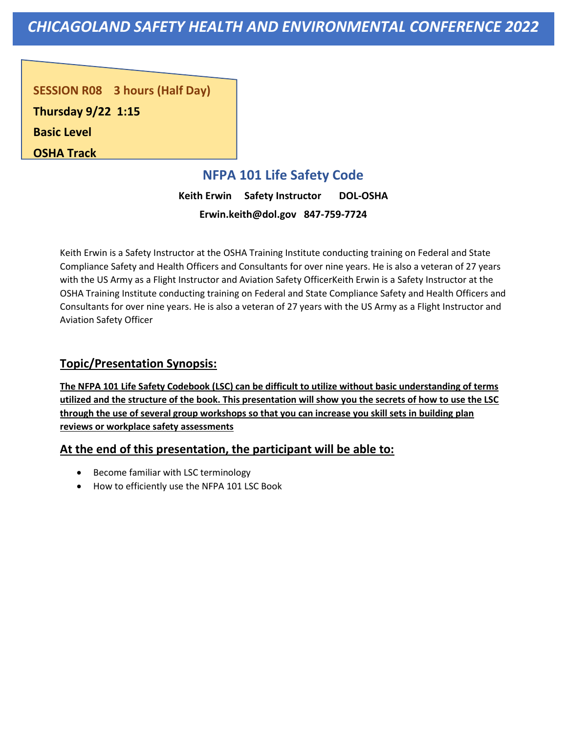*CHICAGOLAND SAFETY HEALTH AND ENVIRONMENTAL CONFERENCE 2022*

**SESSION R08 3 hours (Half Day) Thursday 9/22 1:15 Basic Level OSHA Track**

## **NFPA 101 Life Safety Code**

**Keith Erwin Safety Instructor DOL-OSHA Erwin.keith@dol.gov 847-759-7724**

Keith Erwin is a Safety Instructor at the OSHA Training Institute conducting training on Federal and State Compliance Safety and Health Officers and Consultants for over nine years. He is also a veteran of 27 years with the US Army as a Flight Instructor and Aviation Safety OfficerKeith Erwin is a Safety Instructor at the OSHA Training Institute conducting training on Federal and State Compliance Safety and Health Officers and Consultants for over nine years. He is also a veteran of 27 years with the US Army as a Flight Instructor and Aviation Safety Officer

#### **Topic/Presentation Synopsis:**

**The NFPA 101 Life Safety Codebook (LSC) can be difficult to utilize without basic understanding of terms utilized and the structure of the book. This presentation will show you the secrets of how to use the LSC through the use of several group workshops so that you can increase you skill sets in building plan reviews or workplace safety assessments**

#### **At the end of this presentation, the participant will be able to:**

- Become familiar with LSC terminology
- How to efficiently use the NFPA 101 LSC Book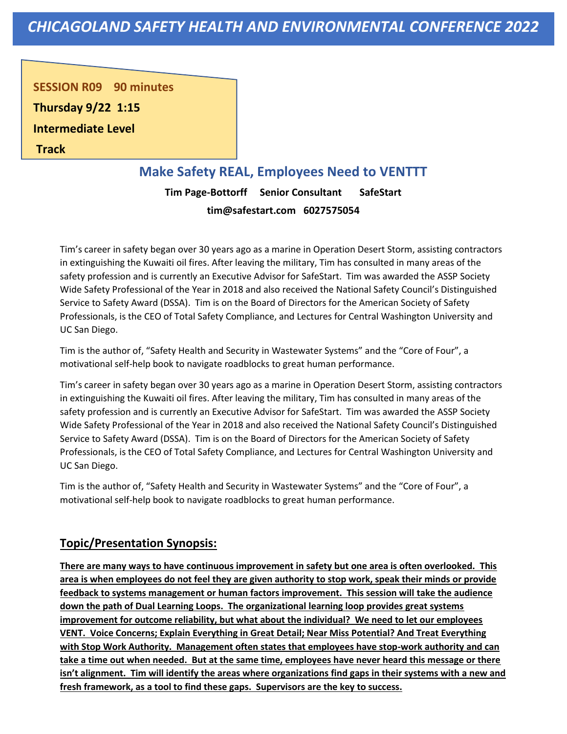*CHICAGOLAND SAFETY HEALTH AND ENVIRONMENTAL CONFERENCE 2022*

**SESSION R09 90 minutes** 

**Thursday 9/22 1:15**

**Intermediate Level** 

**Track**

### **Make Safety REAL, Employees Need to VENTTT**

**Tim Page-Bottorff Senior Consultant SafeStart tim@safestart.com 6027575054**

Tim's career in safety began over 30 years ago as a marine in Operation Desert Storm, assisting contractors in extinguishing the Kuwaiti oil fires. After leaving the military, Tim has consulted in many areas of the safety profession and is currently an Executive Advisor for SafeStart. Tim was awarded the ASSP Society Wide Safety Professional of the Year in 2018 and also received the National Safety Council's Distinguished Service to Safety Award (DSSA). Tim is on the Board of Directors for the American Society of Safety Professionals, is the CEO of Total Safety Compliance, and Lectures for Central Washington University and UC San Diego.

Tim is the author of, "Safety Health and Security in Wastewater Systems" and the "Core of Four", a motivational self-help book to navigate roadblocks to great human performance.

Tim's career in safety began over 30 years ago as a marine in Operation Desert Storm, assisting contractors in extinguishing the Kuwaiti oil fires. After leaving the military, Tim has consulted in many areas of the safety profession and is currently an Executive Advisor for SafeStart. Tim was awarded the ASSP Society Wide Safety Professional of the Year in 2018 and also received the National Safety Council's Distinguished Service to Safety Award (DSSA). Tim is on the Board of Directors for the American Society of Safety Professionals, is the CEO of Total Safety Compliance, and Lectures for Central Washington University and UC San Diego.

Tim is the author of, "Safety Health and Security in Wastewater Systems" and the "Core of Four", a motivational self-help book to navigate roadblocks to great human performance.

#### **Topic/Presentation Synopsis:**

**There are many ways to have continuous improvement in safety but one area is often overlooked. This area is when employees do not feel they are given authority to stop work, speak their minds or provide feedback to systems management or human factors improvement. This session will take the audience down the path of Dual Learning Loops. The organizational learning loop provides great systems improvement for outcome reliability, but what about the individual? We need to let our employees VENT. Voice Concerns; Explain Everything in Great Detail; Near Miss Potential? And Treat Everything with Stop Work Authority. Management often states that employees have stop-work authority and can take a time out when needed. But at the same time, employees have never heard this message or there isn't alignment. Tim will identify the areas where organizations find gaps in their systems with a new and fresh framework, as a tool to find these gaps. Supervisors are the key to success.**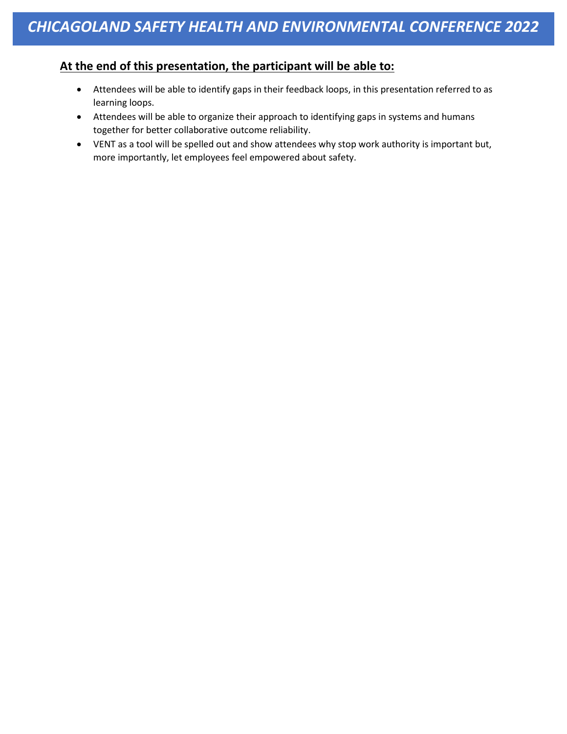#### **At the end of this presentation, the participant will be able to:**

- Attendees will be able to identify gaps in their feedback loops, in this presentation referred to as learning loops.
- Attendees will be able to organize their approach to identifying gaps in systems and humans together for better collaborative outcome reliability.
- VENT as a tool will be spelled out and show attendees why stop work authority is important but, more importantly, let employees feel empowered about safety.